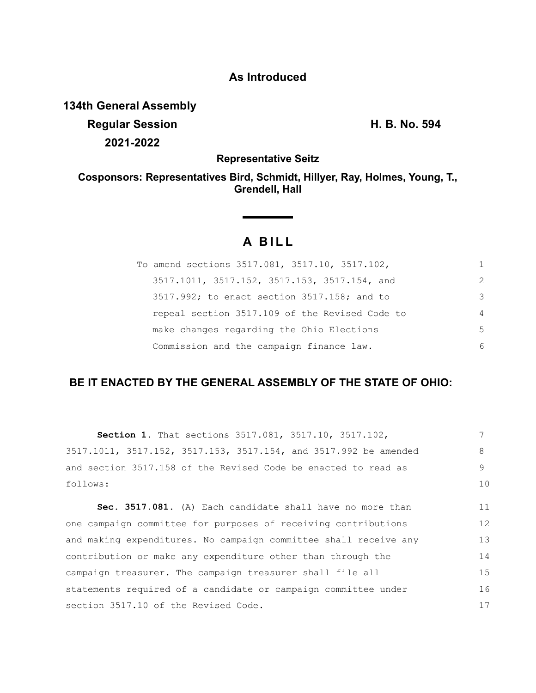## **As Introduced**

**134th General Assembly**

**Regular Session H. B. No. 594 2021-2022**

**Representative Seitz**

**Cosponsors: Representatives Bird, Schmidt, Hillyer, Ray, Holmes, Young, T., Grendell, Hall**

# **A BILL**

| To amend sections 3517.081, 3517.10, 3517.102, |                |
|------------------------------------------------|----------------|
| 3517.1011, 3517.152, 3517.153, 3517.154, and   | 2              |
| 3517.992; to enact section 3517.158; and to    | 3              |
| repeal section 3517.109 of the Revised Code to | $\overline{4}$ |
| make changes regarding the Ohio Elections      | $\overline{5}$ |
| Commission and the campaign finance law.       | 6              |

## **BE IT ENACTED BY THE GENERAL ASSEMBLY OF THE STATE OF OHIO:**

| <b>Section 1.</b> That sections 3517.081, 3517.10, 3517.102,     |    |
|------------------------------------------------------------------|----|
| 3517.1011, 3517.152, 3517.153, 3517.154, and 3517.992 be amended | 8  |
| and section 3517.158 of the Revised Code be enacted to read as   | 9  |
| follows:                                                         | 10 |
| Sec. 3517.081. (A) Each candidate shall have no more than        | 11 |
| one campaign committee for purposes of receiving contributions   | 12 |
| and making expenditures. No campaign committee shall receive any | 13 |
| contribution or make any expenditure other than through the      |    |
| campaign treasurer. The campaign treasurer shall file all        | 15 |
| statements required of a candidate or campaign committee under   | 16 |
| section 3517.10 of the Revised Code.                             | 17 |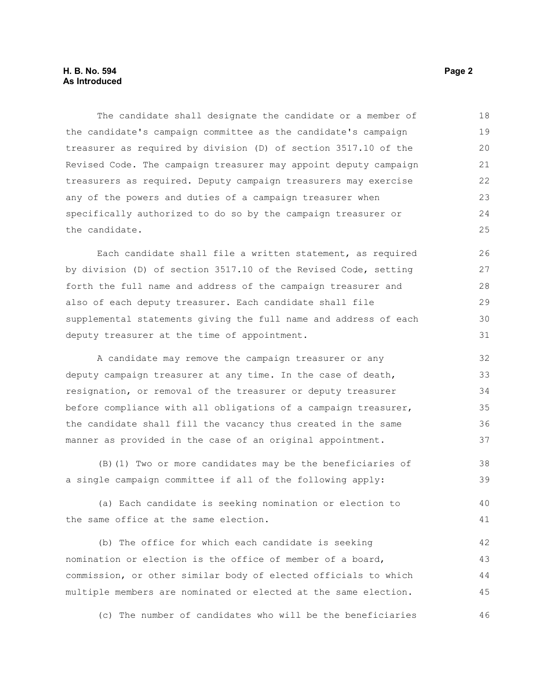#### **H. B. No. 594** Page 2 **As Introduced**

The candidate shall designate the candidate or a member of the candidate's campaign committee as the candidate's campaign treasurer as required by division (D) of section 3517.10 of the Revised Code. The campaign treasurer may appoint deputy campaign treasurers as required. Deputy campaign treasurers may exercise any of the powers and duties of a campaign treasurer when specifically authorized to do so by the campaign treasurer or the candidate. 18 19  $20$ 21 22 23 24 25

Each candidate shall file a written statement, as required by division (D) of section 3517.10 of the Revised Code, setting forth the full name and address of the campaign treasurer and also of each deputy treasurer. Each candidate shall file supplemental statements giving the full name and address of each deputy treasurer at the time of appointment.

A candidate may remove the campaign treasurer or any deputy campaign treasurer at any time. In the case of death, resignation, or removal of the treasurer or deputy treasurer before compliance with all obligations of a campaign treasurer, the candidate shall fill the vacancy thus created in the same manner as provided in the case of an original appointment. 32 33 34 35 36 37

(B)(1) Two or more candidates may be the beneficiaries of a single campaign committee if all of the following apply: 38 39

(a) Each candidate is seeking nomination or election to the same office at the same election.

(b) The office for which each candidate is seeking nomination or election is the office of member of a board, commission, or other similar body of elected officials to which multiple members are nominated or elected at the same election. 42 43 44 45

(c) The number of candidates who will be the beneficiaries 46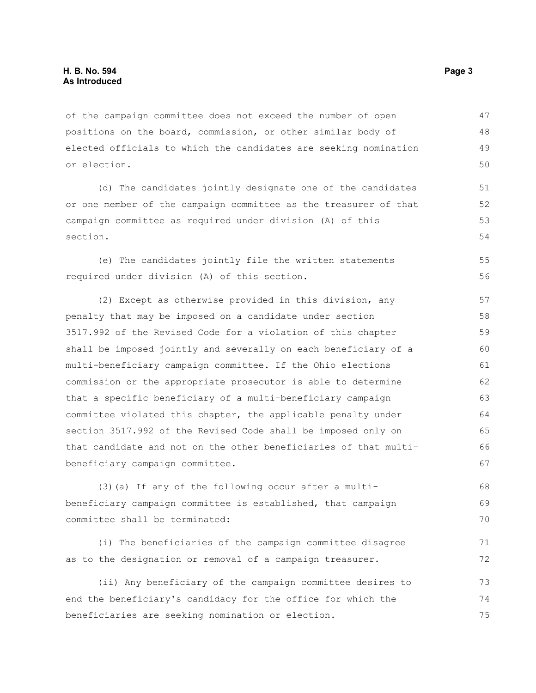of the campaign committee does not exceed the number of open positions on the board, commission, or other similar body of elected officials to which the candidates are seeking nomination or election. 47 48 49 50

(d) The candidates jointly designate one of the candidates or one member of the campaign committee as the treasurer of that campaign committee as required under division (A) of this section.

(e) The candidates jointly file the written statements required under division (A) of this section.

(2) Except as otherwise provided in this division, any penalty that may be imposed on a candidate under section 3517.992 of the Revised Code for a violation of this chapter shall be imposed jointly and severally on each beneficiary of a multi-beneficiary campaign committee. If the Ohio elections commission or the appropriate prosecutor is able to determine that a specific beneficiary of a multi-beneficiary campaign committee violated this chapter, the applicable penalty under section 3517.992 of the Revised Code shall be imposed only on that candidate and not on the other beneficiaries of that multibeneficiary campaign committee. 57 58 59 60 61 62 63 64 65 66 67

(3)(a) If any of the following occur after a multibeneficiary campaign committee is established, that campaign committee shall be terminated:

(i) The beneficiaries of the campaign committee disagree as to the designation or removal of a campaign treasurer. 71 72

(ii) Any beneficiary of the campaign committee desires to end the beneficiary's candidacy for the office for which the beneficiaries are seeking nomination or election. 73 74 75

55 56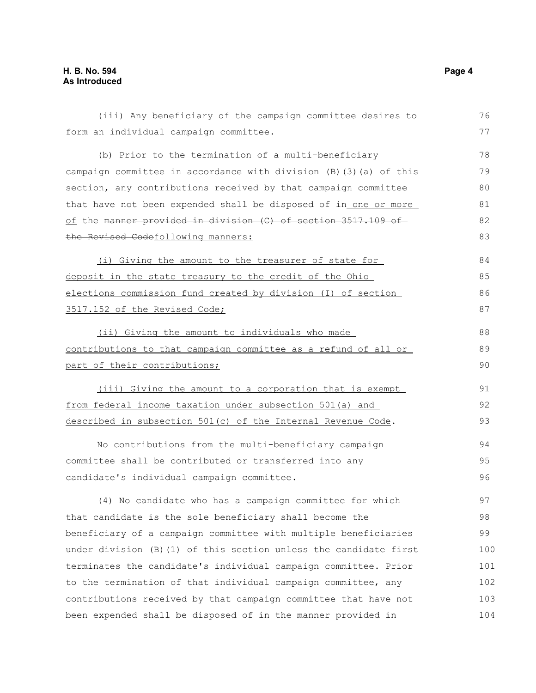### **H. B. No. 594 Page 4 As Introduced**

| (iii) Any beneficiary of the campaign committee desires to         | 76  |
|--------------------------------------------------------------------|-----|
| form an individual campaign committee.                             | 77  |
| (b) Prior to the termination of a multi-beneficiary                | 78  |
| campaign committee in accordance with division (B) (3) (a) of this | 79  |
| section, any contributions received by that campaign committee     | 80  |
| that have not been expended shall be disposed of in one or more    | 81  |
| of the manner provided in division (C) of section 3517.109 of      | 82  |
| the Revised Codefollowing manners:                                 | 83  |
| (i) Giving the amount to the treasurer of state for                | 84  |
| deposit in the state treasury to the credit of the Ohio            | 85  |
| elections commission fund created by division (I) of section       | 86  |
| 3517.152 of the Revised Code;                                      | 87  |
| (ii) Giving the amount to individuals who made                     | 88  |
| contributions to that campaign committee as a refund of all or     | 89  |
| part of their contributions;                                       | 90  |
| (iii) Giving the amount to a corporation that is exempt            | 91  |
| from federal income taxation under subsection 501(a) and           | 92  |
| described in subsection 501(c) of the Internal Revenue Code.       | 93  |
| No contributions from the multi-beneficiary campaign               | 94  |
| committee shall be contributed or transferred into any             | 95  |
| candidate's individual campaign committee.                         | 96  |
| (4) No candidate who has a campaign committee for which            | 97  |
| that candidate is the sole beneficiary shall become the            | 98  |
| beneficiary of a campaign committee with multiple beneficiaries    | 99  |
| under division (B) (1) of this section unless the candidate first  | 100 |
| terminates the candidate's individual campaign committee. Prior    | 101 |
| to the termination of that individual campaign committee, any      | 102 |
| contributions received by that campaign committee that have not    | 103 |
| been expended shall be disposed of in the manner provided in       | 104 |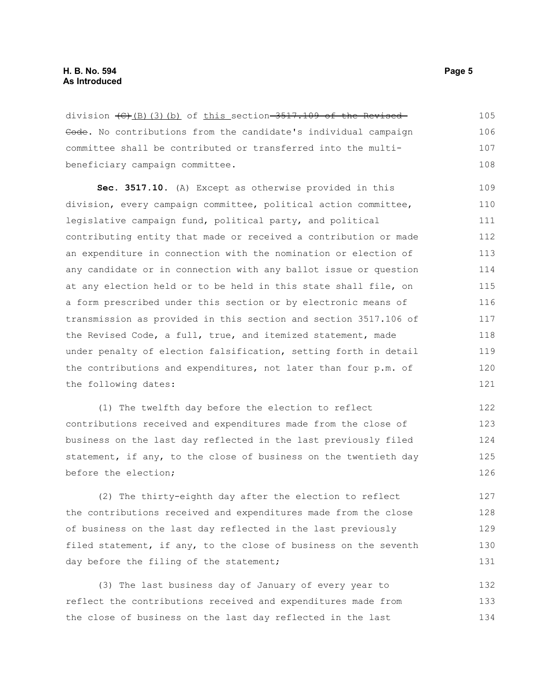division  $\left(\frac{C}{B}\right)$ (3)(b) of this section 3517.109 of the Revised Gode. No contributions from the candidate's individual campaign committee shall be contributed or transferred into the multibeneficiary campaign committee. 105 106 107 108

**Sec. 3517.10.** (A) Except as otherwise provided in this division, every campaign committee, political action committee, legislative campaign fund, political party, and political contributing entity that made or received a contribution or made an expenditure in connection with the nomination or election of any candidate or in connection with any ballot issue or question at any election held or to be held in this state shall file, on a form prescribed under this section or by electronic means of transmission as provided in this section and section 3517.106 of the Revised Code, a full, true, and itemized statement, made under penalty of election falsification, setting forth in detail the contributions and expenditures, not later than four p.m. of the following dates: 109 110 111 112 113 114 115 116 117 118 119 120 121

(1) The twelfth day before the election to reflect contributions received and expenditures made from the close of business on the last day reflected in the last previously filed statement, if any, to the close of business on the twentieth day before the election;

(2) The thirty-eighth day after the election to reflect the contributions received and expenditures made from the close of business on the last day reflected in the last previously filed statement, if any, to the close of business on the seventh day before the filing of the statement; 127 128 129 130 131

(3) The last business day of January of every year to reflect the contributions received and expenditures made from the close of business on the last day reflected in the last 132 133 134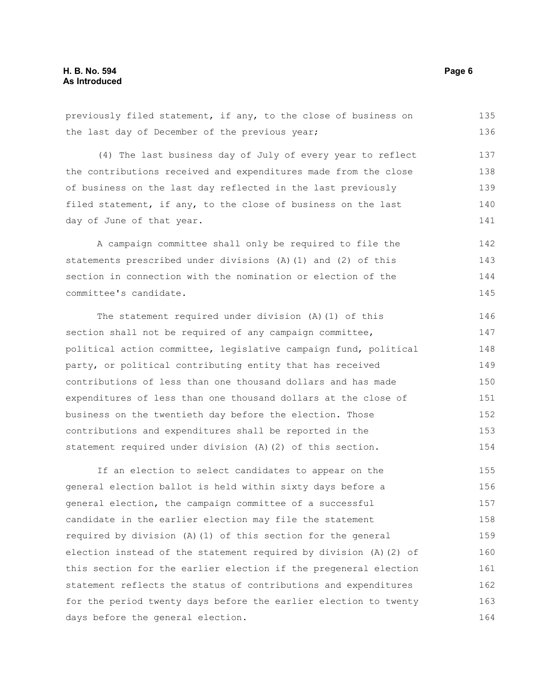previously filed statement, if any, to the close of business on the last day of December of the previous year; (4) The last business day of July of every year to reflect the contributions received and expenditures made from the close of business on the last day reflected in the last previously filed statement, if any, to the close of business on the last day of June of that year. A campaign committee shall only be required to file the statements prescribed under divisions (A)(1) and (2) of this section in connection with the nomination or election of the committee's candidate. The statement required under division (A)(1) of this section shall not be required of any campaign committee, political action committee, legislative campaign fund, political party, or political contributing entity that has received contributions of less than one thousand dollars and has made expenditures of less than one thousand dollars at the close of business on the twentieth day before the election. Those contributions and expenditures shall be reported in the statement required under division (A)(2) of this section. If an election to select candidates to appear on the general election ballot is held within sixty days before a general election, the campaign committee of a successful candidate in the earlier election may file the statement required by division (A)(1) of this section for the general election instead of the statement required by division (A)(2) of this section for the earlier election if the pregeneral election statement reflects the status of contributions and expenditures 135 136 137 138 139 140 141 142 143 144 145 146 147 148 149 150 151 152 153 154 155 156 157 158 159 160 161 162

for the period twenty days before the earlier election to twenty days before the general election. 163 164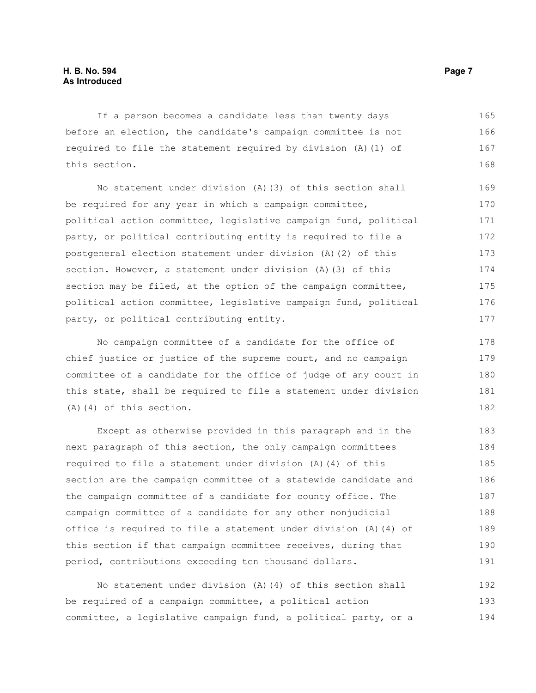If a person becomes a candidate less than twenty days before an election, the candidate's campaign committee is not required to file the statement required by division (A)(1) of this section. 165 166 167 168

No statement under division (A)(3) of this section shall be required for any year in which a campaign committee, political action committee, legislative campaign fund, political party, or political contributing entity is required to file a postgeneral election statement under division (A)(2) of this section. However, a statement under division (A)(3) of this section may be filed, at the option of the campaign committee, political action committee, legislative campaign fund, political party, or political contributing entity. 169 170 171 172 173 174 175 176 177

No campaign committee of a candidate for the office of chief justice or justice of the supreme court, and no campaign committee of a candidate for the office of judge of any court in this state, shall be required to file a statement under division (A)(4) of this section. 178 179 180 181 182

Except as otherwise provided in this paragraph and in the next paragraph of this section, the only campaign committees required to file a statement under division (A)(4) of this section are the campaign committee of a statewide candidate and the campaign committee of a candidate for county office. The campaign committee of a candidate for any other nonjudicial office is required to file a statement under division (A)(4) of this section if that campaign committee receives, during that period, contributions exceeding ten thousand dollars. 183 184 185 186 187 188 189 190 191

No statement under division (A)(4) of this section shall be required of a campaign committee, a political action committee, a legislative campaign fund, a political party, or a 192 193 194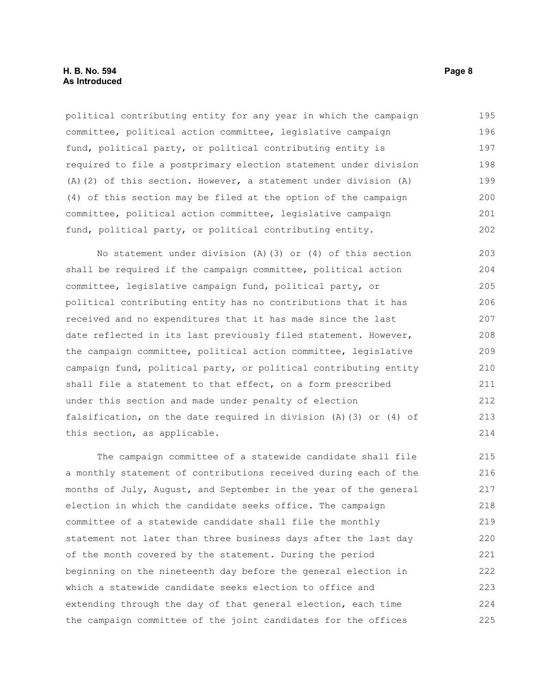political contributing entity for any year in which the campaign committee, political action committee, legislative campaign fund, political party, or political contributing entity is required to file a postprimary election statement under division (A)(2) of this section. However, a statement under division (A) (4) of this section may be filed at the option of the campaign committee, political action committee, legislative campaign fund, political party, or political contributing entity. 195 196 197 198 199 200 201 202

No statement under division (A)(3) or (4) of this section shall be required if the campaign committee, political action committee, legislative campaign fund, political party, or political contributing entity has no contributions that it has received and no expenditures that it has made since the last date reflected in its last previously filed statement. However, the campaign committee, political action committee, legislative campaign fund, political party, or political contributing entity shall file a statement to that effect, on a form prescribed under this section and made under penalty of election falsification, on the date required in division (A)(3) or (4) of this section, as applicable. 203 204 205 206 207 208 209 210 211 212 213 214

The campaign committee of a statewide candidate shall file a monthly statement of contributions received during each of the months of July, August, and September in the year of the general election in which the candidate seeks office. The campaign committee of a statewide candidate shall file the monthly statement not later than three business days after the last day of the month covered by the statement. During the period beginning on the nineteenth day before the general election in which a statewide candidate seeks election to office and extending through the day of that general election, each time the campaign committee of the joint candidates for the offices 215 216 217 218 219 220 221 222 223 224 225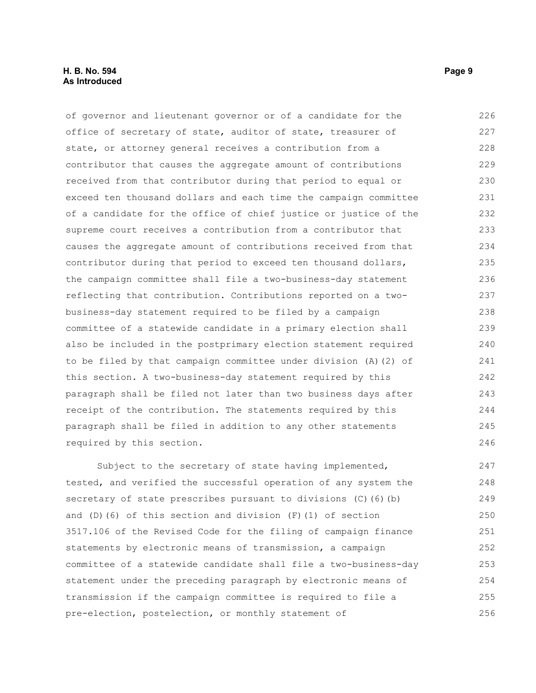#### **H. B. No. 594 Page 9 As Introduced**

of governor and lieutenant governor or of a candidate for the office of secretary of state, auditor of state, treasurer of state, or attorney general receives a contribution from a contributor that causes the aggregate amount of contributions received from that contributor during that period to equal or exceed ten thousand dollars and each time the campaign committee of a candidate for the office of chief justice or justice of the supreme court receives a contribution from a contributor that causes the aggregate amount of contributions received from that contributor during that period to exceed ten thousand dollars, the campaign committee shall file a two-business-day statement reflecting that contribution. Contributions reported on a twobusiness-day statement required to be filed by a campaign committee of a statewide candidate in a primary election shall also be included in the postprimary election statement required to be filed by that campaign committee under division (A)(2) of this section. A two-business-day statement required by this paragraph shall be filed not later than two business days after receipt of the contribution. The statements required by this paragraph shall be filed in addition to any other statements required by this section. Subject to the secretary of state having implemented, tested, and verified the successful operation of any system the 226 227 228 229 230 231 232 233 234 235 236 237 238 239 240 241 242 243 244 245 246 247 248 249

secretary of state prescribes pursuant to divisions (C)(6)(b) and (D)(6) of this section and division  $(F)(1)$  of section 3517.106 of the Revised Code for the filing of campaign finance statements by electronic means of transmission, a campaign committee of a statewide candidate shall file a two-business-day statement under the preceding paragraph by electronic means of transmission if the campaign committee is required to file a pre-election, postelection, or monthly statement of 250 251 252 253 254 255 256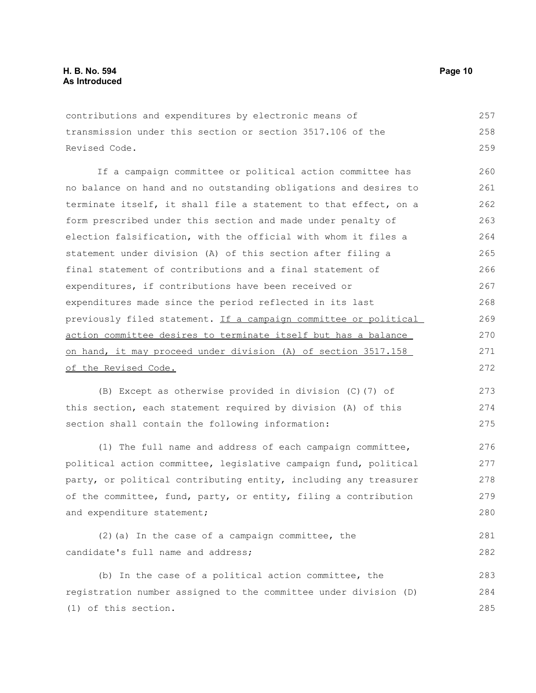contributions and expenditures by electronic means of transmission under this section or section 3517.106 of the Revised Code. 257 258 259

If a campaign committee or political action committee has no balance on hand and no outstanding obligations and desires to terminate itself, it shall file a statement to that effect, on a form prescribed under this section and made under penalty of election falsification, with the official with whom it files a statement under division (A) of this section after filing a final statement of contributions and a final statement of expenditures, if contributions have been received or expenditures made since the period reflected in its last previously filed statement. If a campaign committee or political action committee desires to terminate itself but has a balance on hand, it may proceed under division (A) of section 3517.158 of the Revised Code. 260 261 262 263 264 265 266 267 268 269 270 271 272

(B) Except as otherwise provided in division (C)(7) of this section, each statement required by division (A) of this section shall contain the following information: 273 274 275

(1) The full name and address of each campaign committee, political action committee, legislative campaign fund, political party, or political contributing entity, including any treasurer of the committee, fund, party, or entity, filing a contribution and expenditure statement; 276 277 278 279 280

```
(2)(a) In the case of a campaign committee, the
candidate's full name and address; 
                                                                              281
                                                                              282
```
(b) In the case of a political action committee, the registration number assigned to the committee under division (D) (1) of this section. 283 284 285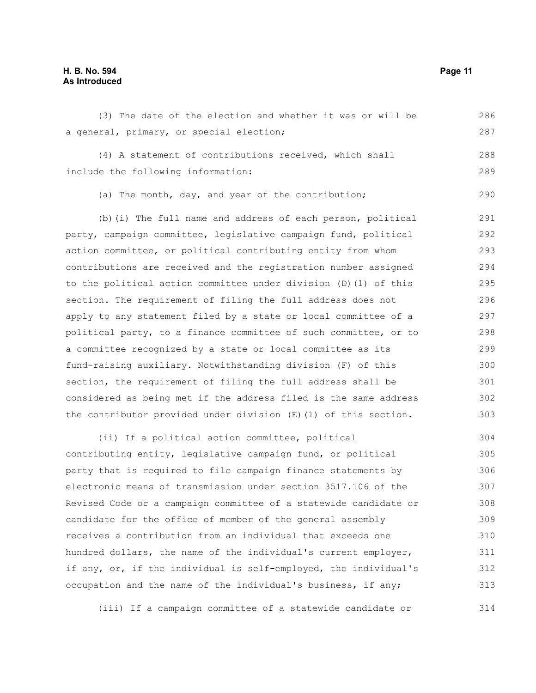### **H. B. No. 594 Page 11 As Introduced**

| (3) The date of the election and whether it was or will be       | 286 |
|------------------------------------------------------------------|-----|
| a general, primary, or special election;                         | 287 |
| (4) A statement of contributions received, which shall           | 288 |
| include the following information:                               | 289 |
| (a) The month, day, and year of the contribution;                | 290 |
| (b) (i) The full name and address of each person, political      | 291 |
| party, campaign committee, legislative campaign fund, political  | 292 |
| action committee, or political contributing entity from whom     | 293 |
| contributions are received and the registration number assigned  | 294 |
| to the political action committee under division (D) (1) of this | 295 |
| section. The requirement of filing the full address does not     | 296 |
| apply to any statement filed by a state or local committee of a  | 297 |
| political party, to a finance committee of such committee, or to | 298 |
| a committee recognized by a state or local committee as its      | 299 |
| fund-raising auxiliary. Notwithstanding division (F) of this     | 300 |
| section, the requirement of filing the full address shall be     | 301 |
| considered as being met if the address filed is the same address | 302 |
| the contributor provided under division (E) (1) of this section. | 303 |
| (ii) If a political action committee, political                  | 304 |
| contributing entity, legislative campaign fund, or political     | 305 |
| party that is required to file campaign finance statements by    | 306 |
| electronic means of transmission under section 3517.106 of the   | 307 |
| Revised Code or a campaign committee of a statewide candidate or | 308 |
| candidate for the office of member of the general assembly       | 309 |
| receives a contribution from an individual that exceeds one      | 310 |
| hundred dollars, the name of the individual's current employer,  | 311 |
| if any, or, if the individual is self-employed, the individual's | 312 |
| occupation and the name of the individual's business, if any;    | 313 |

(iii) If a campaign committee of a statewide candidate or 314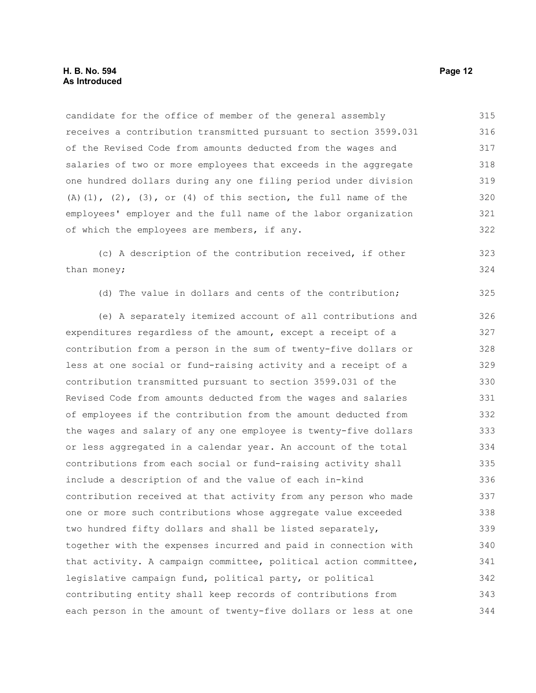candidate for the office of member of the general assembly receives a contribution transmitted pursuant to section 3599.031 of the Revised Code from amounts deducted from the wages and salaries of two or more employees that exceeds in the aggregate one hundred dollars during any one filing period under division  $(A)$ (1), (2), (3), or (4) of this section, the full name of the employees' employer and the full name of the labor organization of which the employees are members, if any. (c) A description of the contribution received, if other than money; (d) The value in dollars and cents of the contribution; (e) A separately itemized account of all contributions and expenditures regardless of the amount, except a receipt of a contribution from a person in the sum of twenty-five dollars or less at one social or fund-raising activity and a receipt of a contribution transmitted pursuant to section 3599.031 of the Revised Code from amounts deducted from the wages and salaries of employees if the contribution from the amount deducted from the wages and salary of any one employee is twenty-five dollars or less aggregated in a calendar year. An account of the total contributions from each social or fund-raising activity shall include a description of and the value of each in-kind contribution received at that activity from any person who made one or more such contributions whose aggregate value exceeded two hundred fifty dollars and shall be listed separately, together with the expenses incurred and paid in connection with that activity. A campaign committee, political action committee, legislative campaign fund, political party, or political 315 316 317 318 319 320 321 322 323 324 325 326 327 328 329 330 331 332 333 334 335 336 337 338 339 340 341 342

contributing entity shall keep records of contributions from each person in the amount of twenty-five dollars or less at one 343 344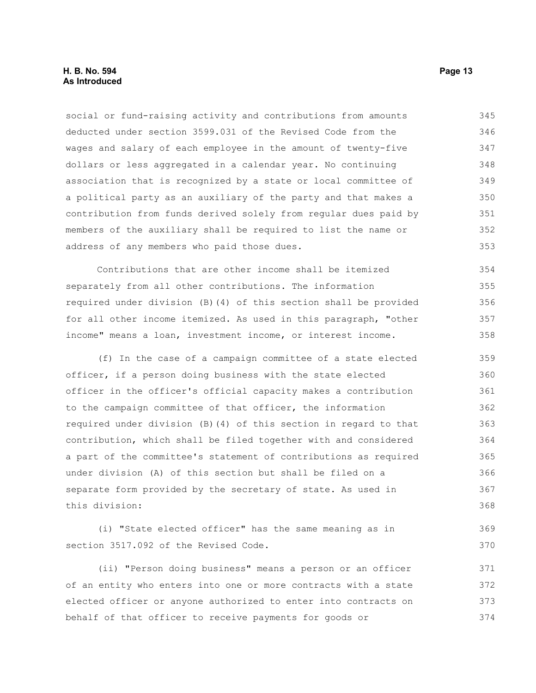social or fund-raising activity and contributions from amounts deducted under section 3599.031 of the Revised Code from the wages and salary of each employee in the amount of twenty-five dollars or less aggregated in a calendar year. No continuing association that is recognized by a state or local committee of a political party as an auxiliary of the party and that makes a contribution from funds derived solely from regular dues paid by members of the auxiliary shall be required to list the name or address of any members who paid those dues. 345 346 347 348 349 350 351 352 353

Contributions that are other income shall be itemized separately from all other contributions. The information required under division (B)(4) of this section shall be provided for all other income itemized. As used in this paragraph, "other income" means a loan, investment income, or interest income. 354 355 356 357 358

(f) In the case of a campaign committee of a state elected officer, if a person doing business with the state elected officer in the officer's official capacity makes a contribution to the campaign committee of that officer, the information required under division (B)(4) of this section in regard to that contribution, which shall be filed together with and considered a part of the committee's statement of contributions as required under division (A) of this section but shall be filed on a separate form provided by the secretary of state. As used in this division: 359 360 361 362 363 364 365 366 367 368

(i) "State elected officer" has the same meaning as in section 3517.092 of the Revised Code. 369 370

(ii) "Person doing business" means a person or an officer of an entity who enters into one or more contracts with a state elected officer or anyone authorized to enter into contracts on behalf of that officer to receive payments for goods or 371 372 373 374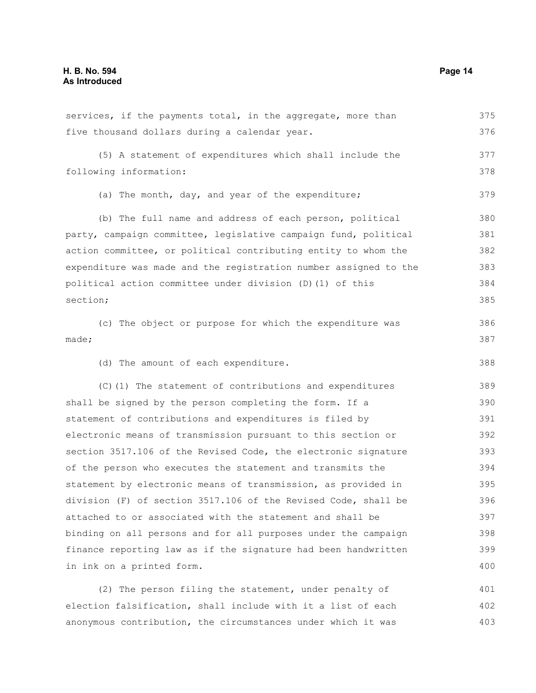services, if the payments total, in the aggregate, more than five thousand dollars during a calendar year. (5) A statement of expenditures which shall include the following information: (a) The month, day, and year of the expenditure; (b) The full name and address of each person, political party, campaign committee, legislative campaign fund, political action committee, or political contributing entity to whom the expenditure was made and the registration number assigned to the political action committee under division (D)(1) of this section; (c) The object or purpose for which the expenditure was made; (d) The amount of each expenditure. (C)(1) The statement of contributions and expenditures shall be signed by the person completing the form. If a statement of contributions and expenditures is filed by electronic means of transmission pursuant to this section or section 3517.106 of the Revised Code, the electronic signature of the person who executes the statement and transmits the statement by electronic means of transmission, as provided in division (F) of section 3517.106 of the Revised Code, shall be attached to or associated with the statement and shall be binding on all persons and for all purposes under the campaign finance reporting law as if the signature had been handwritten in ink on a printed form. (2) The person filing the statement, under penalty of 375 376 377 378 379 380 381 382 383 384 385 386 387 388 389 390 391 392 393 394 395 396 397 398 399 400 401

election falsification, shall include with it a list of each anonymous contribution, the circumstances under which it was 402 403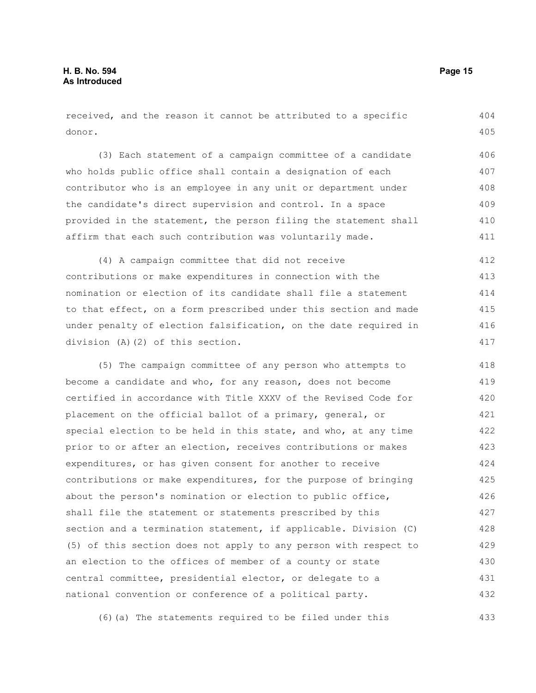received, and the reason it cannot be attributed to a specific donor. 404 405

(3) Each statement of a campaign committee of a candidate who holds public office shall contain a designation of each contributor who is an employee in any unit or department under the candidate's direct supervision and control. In a space provided in the statement, the person filing the statement shall affirm that each such contribution was voluntarily made. 406 407 408 409 410 411

(4) A campaign committee that did not receive contributions or make expenditures in connection with the nomination or election of its candidate shall file a statement to that effect, on a form prescribed under this section and made under penalty of election falsification, on the date required in division (A)(2) of this section. 412 413 414 415 416 417

(5) The campaign committee of any person who attempts to become a candidate and who, for any reason, does not become certified in accordance with Title XXXV of the Revised Code for placement on the official ballot of a primary, general, or special election to be held in this state, and who, at any time prior to or after an election, receives contributions or makes expenditures, or has given consent for another to receive contributions or make expenditures, for the purpose of bringing about the person's nomination or election to public office, shall file the statement or statements prescribed by this section and a termination statement, if applicable. Division (C) (5) of this section does not apply to any person with respect to an election to the offices of member of a county or state central committee, presidential elector, or delegate to a national convention or conference of a political party. 418 419 420 421 422 423 424 425 426 427 428 429 430 431 432

(6)(a) The statements required to be filed under this 433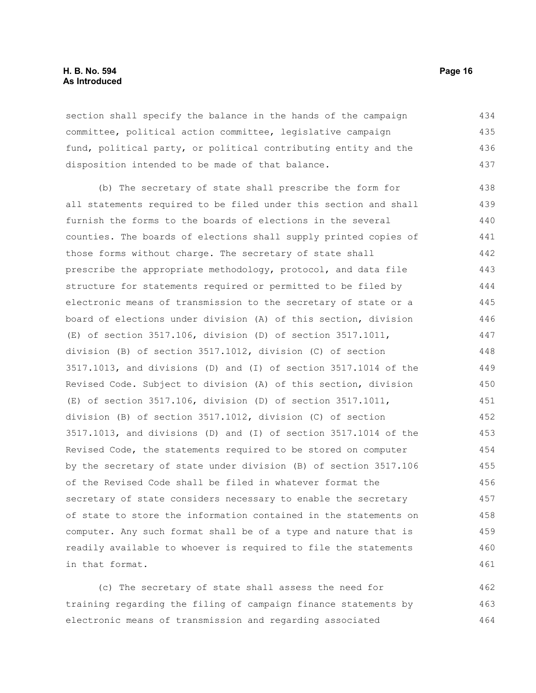#### **H. B. No. 594 Page 16 As Introduced**

section shall specify the balance in the hands of the campaign committee, political action committee, legislative campaign fund, political party, or political contributing entity and the disposition intended to be made of that balance. 434 435 436 437

(b) The secretary of state shall prescribe the form for all statements required to be filed under this section and shall furnish the forms to the boards of elections in the several counties. The boards of elections shall supply printed copies of those forms without charge. The secretary of state shall prescribe the appropriate methodology, protocol, and data file structure for statements required or permitted to be filed by electronic means of transmission to the secretary of state or a board of elections under division (A) of this section, division (E) of section 3517.106, division (D) of section 3517.1011, division (B) of section 3517.1012, division (C) of section 3517.1013, and divisions (D) and (I) of section 3517.1014 of the Revised Code. Subject to division (A) of this section, division (E) of section 3517.106, division (D) of section 3517.1011, division (B) of section 3517.1012, division (C) of section 3517.1013, and divisions (D) and (I) of section 3517.1014 of the Revised Code, the statements required to be stored on computer by the secretary of state under division (B) of section 3517.106 of the Revised Code shall be filed in whatever format the secretary of state considers necessary to enable the secretary of state to store the information contained in the statements on computer. Any such format shall be of a type and nature that is readily available to whoever is required to file the statements in that format. 438 439 440 441 442 443 444 445 446 447 448 449 450 451 452 453 454 455 456 457 458 459 460 461

(c) The secretary of state shall assess the need for training regarding the filing of campaign finance statements by electronic means of transmission and regarding associated 462 463 464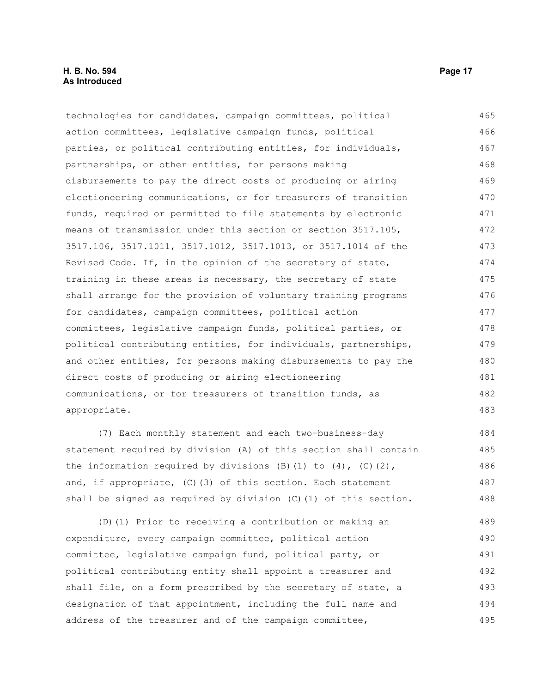technologies for candidates, campaign committees, political action committees, legislative campaign funds, political parties, or political contributing entities, for individuals, partnerships, or other entities, for persons making disbursements to pay the direct costs of producing or airing electioneering communications, or for treasurers of transition funds, required or permitted to file statements by electronic means of transmission under this section or section 3517.105, 3517.106, 3517.1011, 3517.1012, 3517.1013, or 3517.1014 of the Revised Code. If, in the opinion of the secretary of state, training in these areas is necessary, the secretary of state shall arrange for the provision of voluntary training programs for candidates, campaign committees, political action committees, legislative campaign funds, political parties, or political contributing entities, for individuals, partnerships, and other entities, for persons making disbursements to pay the direct costs of producing or airing electioneering communications, or for treasurers of transition funds, as appropriate. 465 466 467 468 469 470 471 472 473 474 475 476 477 478 479 480 481 482 483

(7) Each monthly statement and each two-business-day statement required by division (A) of this section shall contain the information required by divisions  $(B)$  (1) to  $(4)$ ,  $(C)$   $(2)$ , and, if appropriate, (C)(3) of this section. Each statement shall be signed as required by division (C)(1) of this section.

(D)(1) Prior to receiving a contribution or making an expenditure, every campaign committee, political action committee, legislative campaign fund, political party, or political contributing entity shall appoint a treasurer and shall file, on a form prescribed by the secretary of state, a designation of that appointment, including the full name and address of the treasurer and of the campaign committee, 489 490 491 492 493 494 495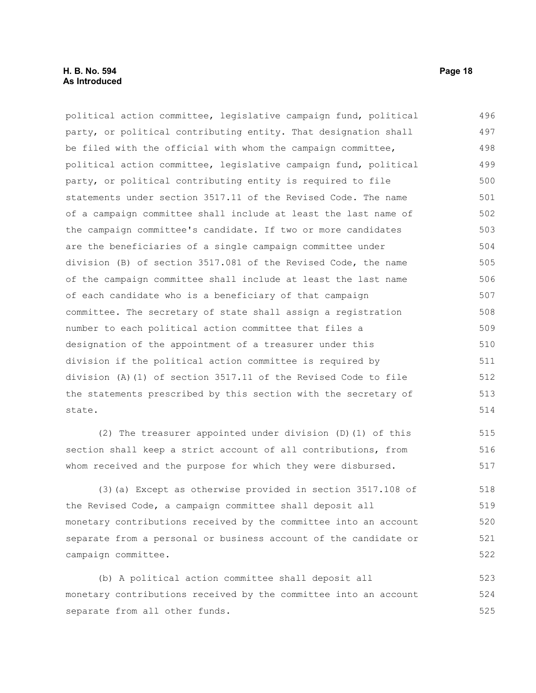#### **H. B. No. 594 Page 18 As Introduced**

political action committee, legislative campaign fund, political party, or political contributing entity. That designation shall be filed with the official with whom the campaign committee, political action committee, legislative campaign fund, political party, or political contributing entity is required to file statements under section 3517.11 of the Revised Code. The name of a campaign committee shall include at least the last name of the campaign committee's candidate. If two or more candidates are the beneficiaries of a single campaign committee under division (B) of section 3517.081 of the Revised Code, the name of the campaign committee shall include at least the last name of each candidate who is a beneficiary of that campaign committee. The secretary of state shall assign a registration number to each political action committee that files a designation of the appointment of a treasurer under this division if the political action committee is required by division (A)(1) of section 3517.11 of the Revised Code to file the statements prescribed by this section with the secretary of state. 496 497 498 499 500 501 502 503 504 505 506 507 508 509 510 511 512 513 514

(2) The treasurer appointed under division (D)(1) of this section shall keep a strict account of all contributions, from whom received and the purpose for which they were disbursed. 515 516 517

(3)(a) Except as otherwise provided in section 3517.108 of the Revised Code, a campaign committee shall deposit all monetary contributions received by the committee into an account separate from a personal or business account of the candidate or campaign committee. 518 519 520 521 522

(b) A political action committee shall deposit all monetary contributions received by the committee into an account separate from all other funds. 523 524 525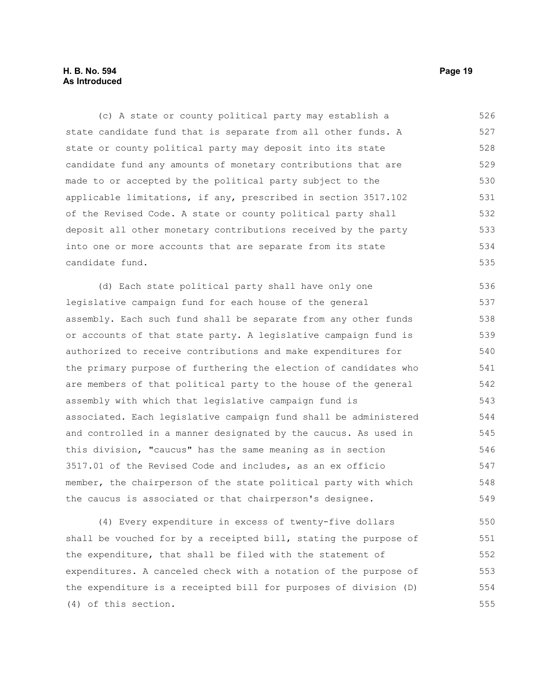#### **H. B. No. 594 Page 19 As Introduced**

(c) A state or county political party may establish a state candidate fund that is separate from all other funds. A state or county political party may deposit into its state candidate fund any amounts of monetary contributions that are made to or accepted by the political party subject to the applicable limitations, if any, prescribed in section 3517.102 of the Revised Code. A state or county political party shall deposit all other monetary contributions received by the party into one or more accounts that are separate from its state candidate fund. 526 527 528 529 530 531 532 533 534 535

(d) Each state political party shall have only one legislative campaign fund for each house of the general assembly. Each such fund shall be separate from any other funds or accounts of that state party. A legislative campaign fund is authorized to receive contributions and make expenditures for the primary purpose of furthering the election of candidates who are members of that political party to the house of the general assembly with which that legislative campaign fund is associated. Each legislative campaign fund shall be administered and controlled in a manner designated by the caucus. As used in this division, "caucus" has the same meaning as in section 3517.01 of the Revised Code and includes, as an ex officio member, the chairperson of the state political party with which the caucus is associated or that chairperson's designee. 536 537 538 539 540 541 542 543 544 545 546 547 548 549

(4) Every expenditure in excess of twenty-five dollars shall be vouched for by a receipted bill, stating the purpose of the expenditure, that shall be filed with the statement of expenditures. A canceled check with a notation of the purpose of the expenditure is a receipted bill for purposes of division (D) (4) of this section. 550 551 552 553 554 555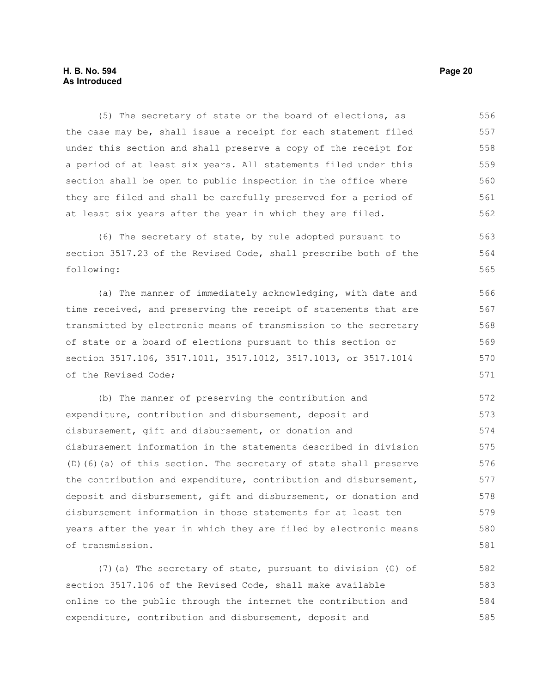#### **H. B. No. 594 Page 20 As Introduced**

(5) The secretary of state or the board of elections, as the case may be, shall issue a receipt for each statement filed under this section and shall preserve a copy of the receipt for a period of at least six years. All statements filed under this section shall be open to public inspection in the office where they are filed and shall be carefully preserved for a period of at least six years after the year in which they are filed. 556 557 558 559 560 561 562

(6) The secretary of state, by rule adopted pursuant to section 3517.23 of the Revised Code, shall prescribe both of the following: 563 564 565

(a) The manner of immediately acknowledging, with date and time received, and preserving the receipt of statements that are transmitted by electronic means of transmission to the secretary of state or a board of elections pursuant to this section or section 3517.106, 3517.1011, 3517.1012, 3517.1013, or 3517.1014 of the Revised Code; 566 567 568 569 570 571

(b) The manner of preserving the contribution and expenditure, contribution and disbursement, deposit and disbursement, gift and disbursement, or donation and disbursement information in the statements described in division (D)(6)(a) of this section. The secretary of state shall preserve the contribution and expenditure, contribution and disbursement, deposit and disbursement, gift and disbursement, or donation and disbursement information in those statements for at least ten years after the year in which they are filed by electronic means of transmission. 572 573 574 575 576 577 578 579 580 581

(7)(a) The secretary of state, pursuant to division (G) of section 3517.106 of the Revised Code, shall make available online to the public through the internet the contribution and expenditure, contribution and disbursement, deposit and 582 583 584 585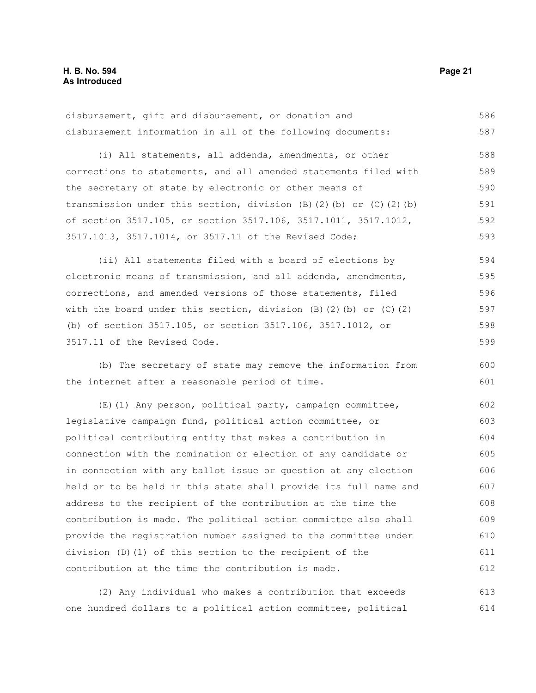disbursement, gift and disbursement, or donation and disbursement information in all of the following documents: 586 587

(i) All statements, all addenda, amendments, or other corrections to statements, and all amended statements filed with the secretary of state by electronic or other means of transmission under this section, division (B)(2)(b) or (C)(2)(b) of section 3517.105, or section 3517.106, 3517.1011, 3517.1012, 3517.1013, 3517.1014, or 3517.11 of the Revised Code; 588 589 590 591 592 593

(ii) All statements filed with a board of elections by electronic means of transmission, and all addenda, amendments, corrections, and amended versions of those statements, filed with the board under this section, division  $(B)$   $(2)$   $(b)$  or  $(C)$   $(2)$ (b) of section 3517.105, or section 3517.106, 3517.1012, or 3517.11 of the Revised Code. 594 595 596 597 598 599

(b) The secretary of state may remove the information from the internet after a reasonable period of time.

(E)(1) Any person, political party, campaign committee, legislative campaign fund, political action committee, or political contributing entity that makes a contribution in connection with the nomination or election of any candidate or in connection with any ballot issue or question at any election held or to be held in this state shall provide its full name and address to the recipient of the contribution at the time the contribution is made. The political action committee also shall provide the registration number assigned to the committee under division (D)(1) of this section to the recipient of the contribution at the time the contribution is made. 602 603 604 605 606 607 608 609 610 611 612

(2) Any individual who makes a contribution that exceeds one hundred dollars to a political action committee, political 613 614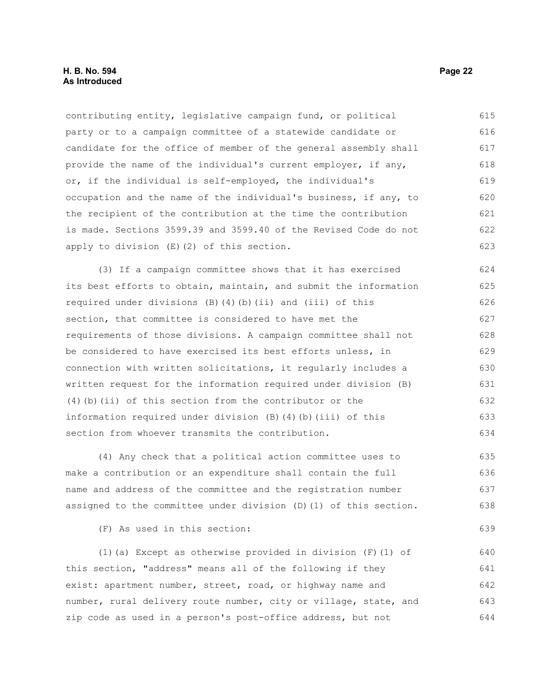contributing entity, legislative campaign fund, or political party or to a campaign committee of a statewide candidate or candidate for the office of member of the general assembly shall provide the name of the individual's current employer, if any, or, if the individual is self-employed, the individual's occupation and the name of the individual's business, if any, to the recipient of the contribution at the time the contribution is made. Sections 3599.39 and 3599.40 of the Revised Code do not apply to division (E)(2) of this section. 615 616 617 618 619 620 621 622 623

(3) If a campaign committee shows that it has exercised its best efforts to obtain, maintain, and submit the information required under divisions (B)(4)(b)(ii) and (iii) of this section, that committee is considered to have met the requirements of those divisions. A campaign committee shall not be considered to have exercised its best efforts unless, in connection with written solicitations, it regularly includes a written request for the information required under division (B) (4)(b)(ii) of this section from the contributor or the information required under division  $(B)$   $(4)$   $(b)$   $(iii)$  of this section from whoever transmits the contribution. 624 625 626 627 628 629 630 631 632 633 634

(4) Any check that a political action committee uses to make a contribution or an expenditure shall contain the full name and address of the committee and the registration number assigned to the committee under division (D)(1) of this section. 635 636 637 638

(F) As used in this section:

(1)(a) Except as otherwise provided in division  $(F)(1)$  of this section, "address" means all of the following if they exist: apartment number, street, road, or highway name and number, rural delivery route number, city or village, state, and zip code as used in a person's post-office address, but not 640 641 642 643 644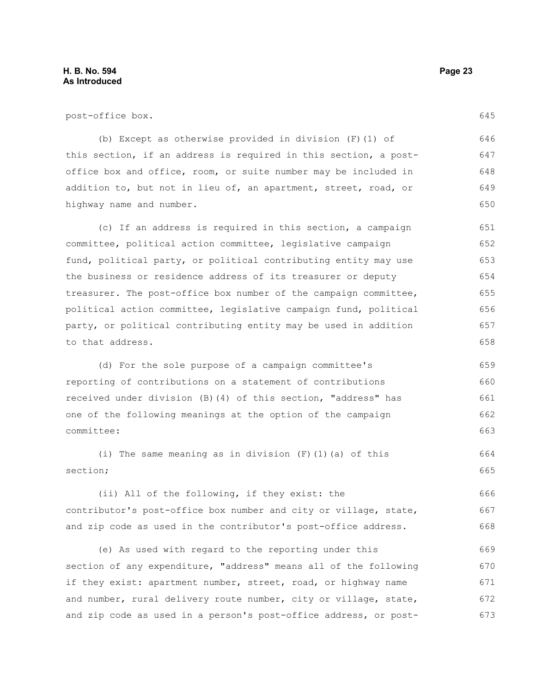post-office box.

(b) Except as otherwise provided in division (F)(1) of this section, if an address is required in this section, a postoffice box and office, room, or suite number may be included in addition to, but not in lieu of, an apartment, street, road, or highway name and number. 646 647 648 649 650

(c) If an address is required in this section, a campaign committee, political action committee, legislative campaign fund, political party, or political contributing entity may use the business or residence address of its treasurer or deputy treasurer. The post-office box number of the campaign committee, political action committee, legislative campaign fund, political party, or political contributing entity may be used in addition to that address. 651 652 653 654 655 656 657 658

(d) For the sole purpose of a campaign committee's reporting of contributions on a statement of contributions received under division (B)(4) of this section, "address" has one of the following meanings at the option of the campaign committee: 659 660 661 662 663

(i) The same meaning as in division (F)(1)(a) of this section; 664 665

(ii) All of the following, if they exist: the contributor's post-office box number and city or village, state, and zip code as used in the contributor's post-office address. 666 667 668

(e) As used with regard to the reporting under this section of any expenditure, "address" means all of the following if they exist: apartment number, street, road, or highway name and number, rural delivery route number, city or village, state, and zip code as used in a person's post-office address, or post-669 670 671 672 673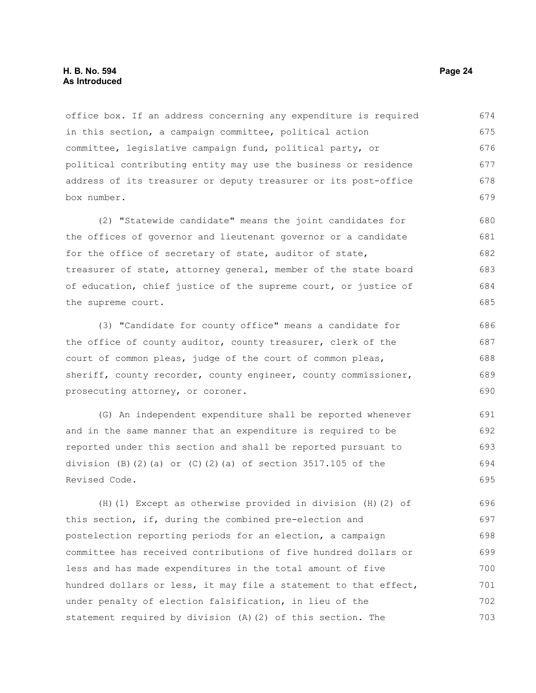office box. If an address concerning any expenditure is required in this section, a campaign committee, political action committee, legislative campaign fund, political party, or political contributing entity may use the business or residence address of its treasurer or deputy treasurer or its post-office box number. 674 675 676 677 678 679

(2) "Statewide candidate" means the joint candidates for the offices of governor and lieutenant governor or a candidate for the office of secretary of state, auditor of state, treasurer of state, attorney general, member of the state board of education, chief justice of the supreme court, or justice of the supreme court. 680 681 682 683 684 685

(3) "Candidate for county office" means a candidate for the office of county auditor, county treasurer, clerk of the court of common pleas, judge of the court of common pleas, sheriff, county recorder, county engineer, county commissioner, prosecuting attorney, or coroner. 686 687 688 689 690

(G) An independent expenditure shall be reported whenever and in the same manner that an expenditure is required to be reported under this section and shall be reported pursuant to division (B)(2)(a) or  $(C)$ (2)(a) of section 3517.105 of the Revised Code. 691 692 693 694 695

(H)(1) Except as otherwise provided in division (H)(2) of this section, if, during the combined pre-election and postelection reporting periods for an election, a campaign committee has received contributions of five hundred dollars or less and has made expenditures in the total amount of five hundred dollars or less, it may file a statement to that effect, under penalty of election falsification, in lieu of the statement required by division (A)(2) of this section. The 696 697 698 699 700 701 702 703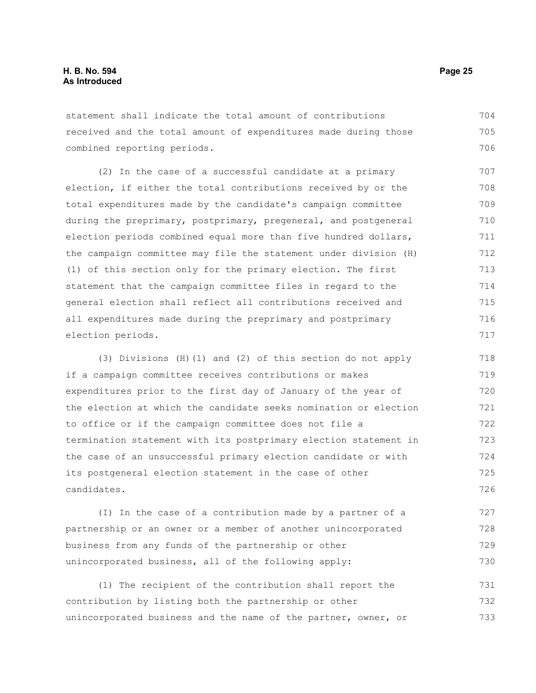statement shall indicate the total amount of contributions received and the total amount of expenditures made during those combined reporting periods. 704 705 706

(2) In the case of a successful candidate at a primary election, if either the total contributions received by or the total expenditures made by the candidate's campaign committee during the preprimary, postprimary, pregeneral, and postgeneral election periods combined equal more than five hundred dollars, the campaign committee may file the statement under division (H) (1) of this section only for the primary election. The first statement that the campaign committee files in regard to the general election shall reflect all contributions received and all expenditures made during the preprimary and postprimary election periods. 707 708 709 710 711 712 713 714 715 716 717

(3) Divisions (H)(1) and (2) of this section do not apply if a campaign committee receives contributions or makes expenditures prior to the first day of January of the year of the election at which the candidate seeks nomination or election to office or if the campaign committee does not file a termination statement with its postprimary election statement in the case of an unsuccessful primary election candidate or with its postgeneral election statement in the case of other candidates. 718 719 720 721 722 723 724 725 726

(I) In the case of a contribution made by a partner of a partnership or an owner or a member of another unincorporated business from any funds of the partnership or other unincorporated business, all of the following apply: 727 728 729 730

(1) The recipient of the contribution shall report the contribution by listing both the partnership or other unincorporated business and the name of the partner, owner, or 731 732 733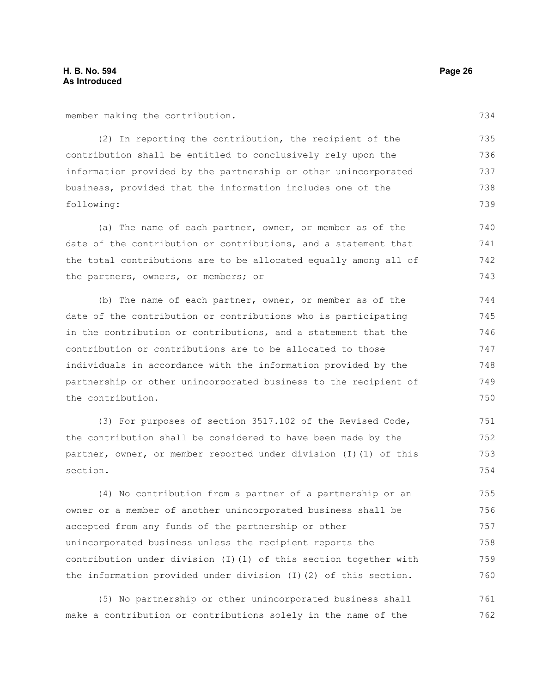member making the contribution.

(2) In reporting the contribution, the recipient of the contribution shall be entitled to conclusively rely upon the information provided by the partnership or other unincorporated business, provided that the information includes one of the following: 735 736 737 738 739

(a) The name of each partner, owner, or member as of the date of the contribution or contributions, and a statement that the total contributions are to be allocated equally among all of the partners, owners, or members; or 740 741 742 743

(b) The name of each partner, owner, or member as of the date of the contribution or contributions who is participating in the contribution or contributions, and a statement that the contribution or contributions are to be allocated to those individuals in accordance with the information provided by the partnership or other unincorporated business to the recipient of the contribution.

(3) For purposes of section 3517.102 of the Revised Code, the contribution shall be considered to have been made by the partner, owner, or member reported under division (I)(1) of this section. 751 752 753 754

(4) No contribution from a partner of a partnership or an owner or a member of another unincorporated business shall be accepted from any funds of the partnership or other unincorporated business unless the recipient reports the contribution under division (I)(1) of this section together with the information provided under division (I)(2) of this section. 755 756 757 758 759 760

(5) No partnership or other unincorporated business shall make a contribution or contributions solely in the name of the 761 762

734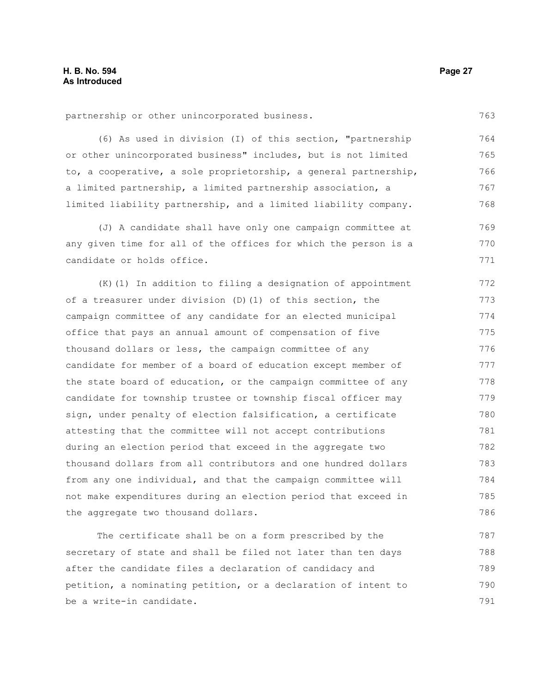partnership or other unincorporated business.

(6) As used in division (I) of this section, "partnership or other unincorporated business" includes, but is not limited to, a cooperative, a sole proprietorship, a general partnership, a limited partnership, a limited partnership association, a limited liability partnership, and a limited liability company. 764 765 766 767 768

(J) A candidate shall have only one campaign committee at any given time for all of the offices for which the person is a candidate or holds office. 769 770 771

(K)(1) In addition to filing a designation of appointment of a treasurer under division (D)(1) of this section, the campaign committee of any candidate for an elected municipal office that pays an annual amount of compensation of five thousand dollars or less, the campaign committee of any candidate for member of a board of education except member of the state board of education, or the campaign committee of any candidate for township trustee or township fiscal officer may sign, under penalty of election falsification, a certificate attesting that the committee will not accept contributions during an election period that exceed in the aggregate two thousand dollars from all contributors and one hundred dollars from any one individual, and that the campaign committee will not make expenditures during an election period that exceed in the aggregate two thousand dollars. 772 773 774 775 776 777 778 779 780 781 782 783 784 785 786

The certificate shall be on a form prescribed by the secretary of state and shall be filed not later than ten days after the candidate files a declaration of candidacy and petition, a nominating petition, or a declaration of intent to be a write-in candidate. 787 788 789 790 791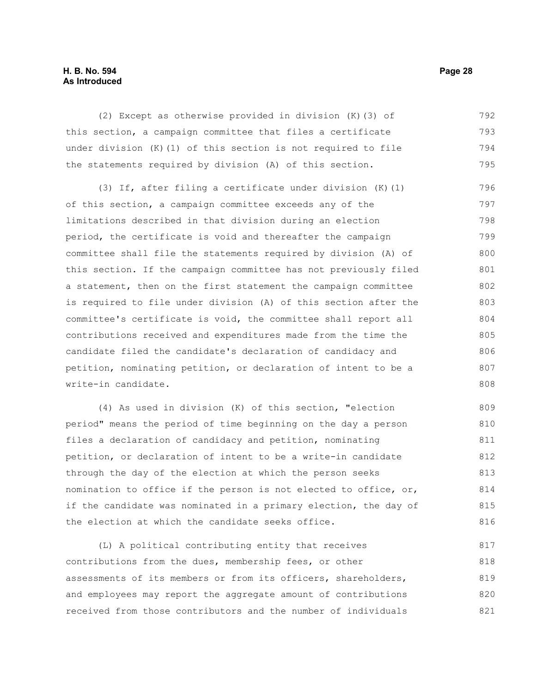#### **H. B. No. 594 Page 28 As Introduced**

(2) Except as otherwise provided in division (K)(3) of this section, a campaign committee that files a certificate under division (K)(1) of this section is not required to file the statements required by division (A) of this section. 792 793 794 795

(3) If, after filing a certificate under division (K)(1) of this section, a campaign committee exceeds any of the limitations described in that division during an election period, the certificate is void and thereafter the campaign committee shall file the statements required by division (A) of this section. If the campaign committee has not previously filed a statement, then on the first statement the campaign committee is required to file under division (A) of this section after the committee's certificate is void, the committee shall report all contributions received and expenditures made from the time the candidate filed the candidate's declaration of candidacy and petition, nominating petition, or declaration of intent to be a write-in candidate. 796 797 798 799 800 801 802 803 804 805 806 807 808

(4) As used in division (K) of this section, "election period" means the period of time beginning on the day a person files a declaration of candidacy and petition, nominating petition, or declaration of intent to be a write-in candidate through the day of the election at which the person seeks nomination to office if the person is not elected to office, or, if the candidate was nominated in a primary election, the day of the election at which the candidate seeks office. 809 810 811 812 813 814 815 816

(L) A political contributing entity that receives contributions from the dues, membership fees, or other assessments of its members or from its officers, shareholders, and employees may report the aggregate amount of contributions received from those contributors and the number of individuals 817 818 819 820 821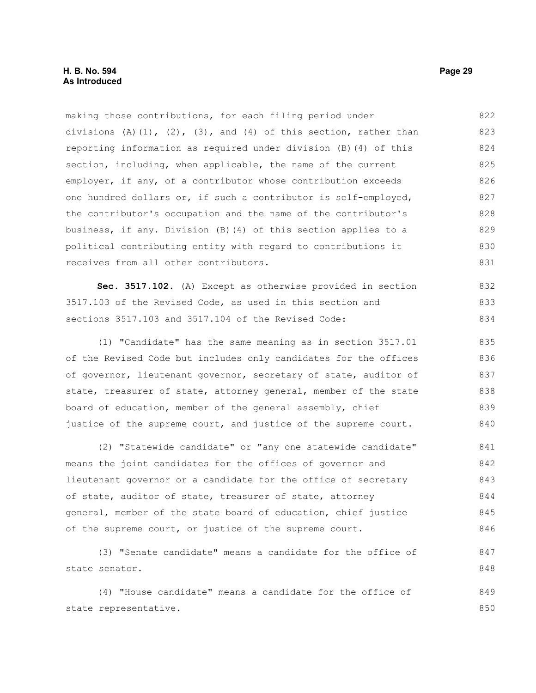making those contributions, for each filing period under divisions  $(A)$   $(1)$ ,  $(2)$ ,  $(3)$ , and  $(4)$  of this section, rather than reporting information as required under division (B)(4) of this section, including, when applicable, the name of the current employer, if any, of a contributor whose contribution exceeds one hundred dollars or, if such a contributor is self-employed, the contributor's occupation and the name of the contributor's business, if any. Division (B)(4) of this section applies to a political contributing entity with regard to contributions it receives from all other contributors. 822 823 824 825 826 827 828 829 830 831

**Sec. 3517.102.** (A) Except as otherwise provided in section 3517.103 of the Revised Code, as used in this section and sections 3517.103 and 3517.104 of the Revised Code: 832 833 834

(1) "Candidate" has the same meaning as in section 3517.01 of the Revised Code but includes only candidates for the offices of governor, lieutenant governor, secretary of state, auditor of state, treasurer of state, attorney general, member of the state board of education, member of the general assembly, chief justice of the supreme court, and justice of the supreme court. 835 836 837 838 839 840

(2) "Statewide candidate" or "any one statewide candidate" means the joint candidates for the offices of governor and lieutenant governor or a candidate for the office of secretary of state, auditor of state, treasurer of state, attorney general, member of the state board of education, chief justice of the supreme court, or justice of the supreme court. 841 842 843 844 845 846

```
(3) "Senate candidate" means a candidate for the office of
state senator. 
                                                                             847
                                                                             848
```
(4) "House candidate" means a candidate for the office of state representative. 849 850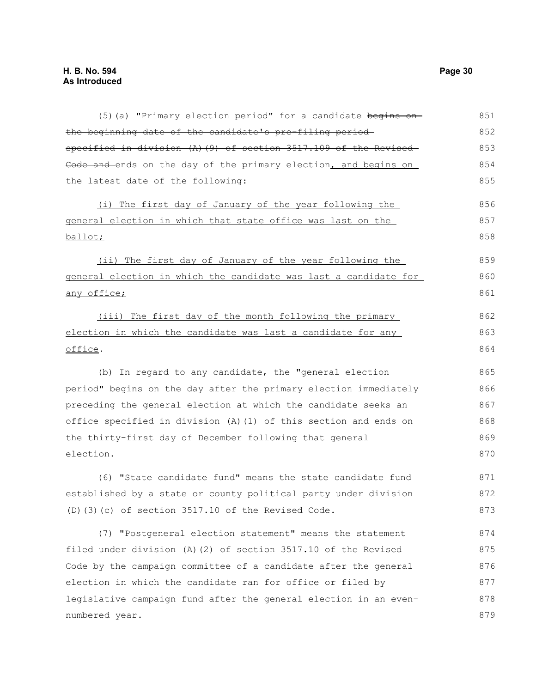| (5) (a) "Primary election period" for a candidate begins on-             | 851 |
|--------------------------------------------------------------------------|-----|
| the beginning date of the candidate's pre-filing period-                 | 852 |
| specified in division (A)(9) of section 3517.109 of the Revised-         | 853 |
| Code and ends on the day of the primary election, and begins on          | 854 |
| the latest date of the following:                                        | 855 |
| (i) The first day of January of the year following the                   | 856 |
| <u>general election in which that state office was last on the </u>      | 857 |
| <u>ballot;</u>                                                           | 858 |
| (ii) The first day of January of the year following the                  | 859 |
| <u>general election in which the candidate was last a candidate for </u> | 860 |
| <u>any office;</u>                                                       | 861 |
| (iii) The first day of the month following the primary                   | 862 |
| election in which the candidate was last a candidate for any             | 863 |
| <u>office</u> .                                                          | 864 |
| (b) In regard to any candidate, the "general election                    | 865 |
| period" begins on the day after the primary election immediately         | 866 |
| preceding the general election at which the candidate seeks an           | 867 |
| office specified in division (A)(1) of this section and ends on          |     |
| the thirty-first day of December following that general                  | 869 |
| election.                                                                | 870 |
| (6) "State candidate fund" means the state candidate fund                | 871 |
| established by a state or county political party under division          | 872 |
| $(D)$ (3) (c) of section 3517.10 of the Revised Code.                    | 873 |
| (7) "Postgeneral election statement" means the statement                 | 874 |
| filed under division (A)(2) of section 3517.10 of the Revised            | 875 |
| Code by the campaign committee of a candidate after the general          | 876 |
| election in which the candidate ran for office or filed by               | 877 |
| legislative campaign fund after the general election in an even-         | 878 |
| numbered year.                                                           | 879 |
|                                                                          |     |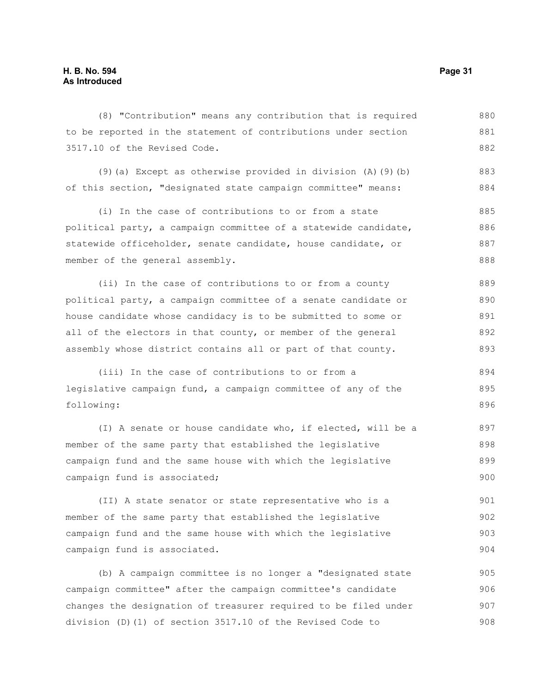(8) "Contribution" means any contribution that is required to be reported in the statement of contributions under section 3517.10 of the Revised Code. 880 881 882

(9)(a) Except as otherwise provided in division (A)(9)(b) of this section, "designated state campaign committee" means: 883 884

(i) In the case of contributions to or from a state political party, a campaign committee of a statewide candidate, statewide officeholder, senate candidate, house candidate, or member of the general assembly. 885 886 887 888

(ii) In the case of contributions to or from a county political party, a campaign committee of a senate candidate or house candidate whose candidacy is to be submitted to some or all of the electors in that county, or member of the general assembly whose district contains all or part of that county. 889 890 891 892 893

(iii) In the case of contributions to or from a legislative campaign fund, a campaign committee of any of the following: 894 895 896

(I) A senate or house candidate who, if elected, will be a member of the same party that established the legislative campaign fund and the same house with which the legislative campaign fund is associated; 897 898 899 900

(II) A state senator or state representative who is a member of the same party that established the legislative campaign fund and the same house with which the legislative campaign fund is associated. 901 902 903 904

(b) A campaign committee is no longer a "designated state campaign committee" after the campaign committee's candidate changes the designation of treasurer required to be filed under division (D)(1) of section 3517.10 of the Revised Code to 905 906 907 908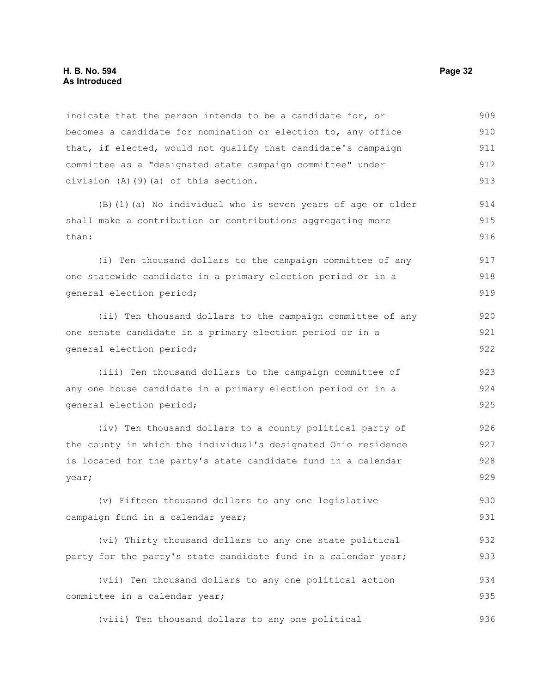#### **H. B. No. 594 Page 32 As Introduced**

indicate that the person intends to be a candidate for, or becomes a candidate for nomination or election to, any office that, if elected, would not qualify that candidate's campaign committee as a "designated state campaign committee" under division (A)(9)(a) of this section. 909 910 911 912 913

(B)(1)(a) No individual who is seven years of age or older shall make a contribution or contributions aggregating more than:

(i) Ten thousand dollars to the campaign committee of any one statewide candidate in a primary election period or in a general election period; 917 918 919

(ii) Ten thousand dollars to the campaign committee of any one senate candidate in a primary election period or in a general election period;

(iii) Ten thousand dollars to the campaign committee of any one house candidate in a primary election period or in a general election period;

(iv) Ten thousand dollars to a county political party of the county in which the individual's designated Ohio residence is located for the party's state candidate fund in a calendar year; 926 927 928 929

(v) Fifteen thousand dollars to any one legislative campaign fund in a calendar year; 930 931

(vi) Thirty thousand dollars to any one state political party for the party's state candidate fund in a calendar year; 932 933

(vii) Ten thousand dollars to any one political action committee in a calendar year; 934 935

(viii) Ten thousand dollars to any one political 936

914 915 916

920 921 922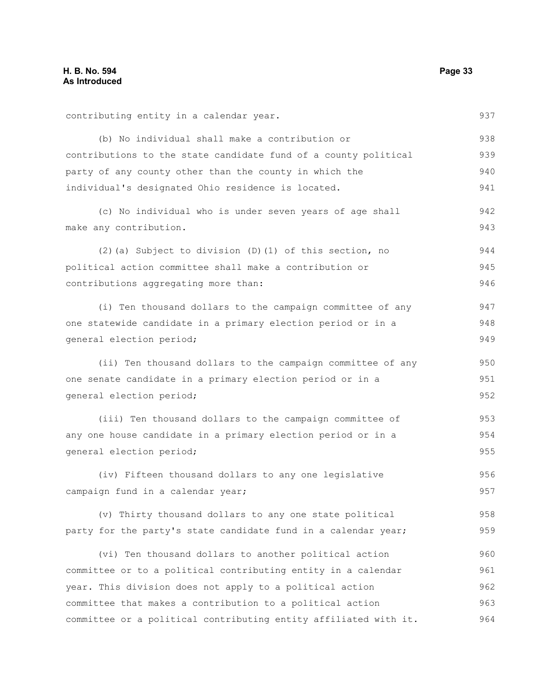| contributing entity in a calendar year.                          | 937 |
|------------------------------------------------------------------|-----|
| (b) No individual shall make a contribution or                   | 938 |
| contributions to the state candidate fund of a county political  | 939 |
| party of any county other than the county in which the           | 940 |
| individual's designated Ohio residence is located.               | 941 |
| (c) No individual who is under seven years of age shall          | 942 |
| make any contribution.                                           | 943 |
| (2) (a) Subject to division (D) (1) of this section, no          | 944 |
| political action committee shall make a contribution or          | 945 |
| contributions aggregating more than:                             | 946 |
| (i) Ten thousand dollars to the campaign committee of any        | 947 |
| one statewide candidate in a primary election period or in a     | 948 |
| general election period;                                         | 949 |
| (ii) Ten thousand dollars to the campaign committee of any       | 950 |
| one senate candidate in a primary election period or in a        | 951 |
| general election period;                                         | 952 |
| (iii) Ten thousand dollars to the campaign committee of          | 953 |
| any one house candidate in a primary election period or in a     | 954 |
| general election period;                                         | 955 |
| (iv) Fifteen thousand dollars to any one legislative             | 956 |
| campaign fund in a calendar year;                                | 957 |
| (v) Thirty thousand dollars to any one state political           | 958 |
| party for the party's state candidate fund in a calendar year;   | 959 |
| (vi) Ten thousand dollars to another political action            | 960 |
| committee or to a political contributing entity in a calendar    | 961 |
| year. This division does not apply to a political action         | 962 |
| committee that makes a contribution to a political action        | 963 |
| committee or a political contributing entity affiliated with it. | 964 |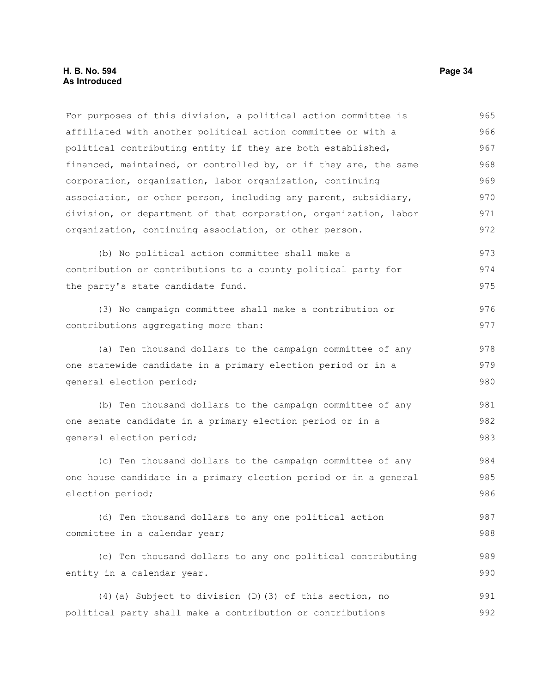For purposes of this division, a political action committee is affiliated with another political action committee or with a political contributing entity if they are both established, financed, maintained, or controlled by, or if they are, the same corporation, organization, labor organization, continuing association, or other person, including any parent, subsidiary, division, or department of that corporation, organization, labor organization, continuing association, or other person. (b) No political action committee shall make a contribution or contributions to a county political party for the party's state candidate fund. (3) No campaign committee shall make a contribution or contributions aggregating more than: (a) Ten thousand dollars to the campaign committee of any one statewide candidate in a primary election period or in a general election period; (b) Ten thousand dollars to the campaign committee of any one senate candidate in a primary election period or in a general election period; (c) Ten thousand dollars to the campaign committee of any one house candidate in a primary election period or in a general election period; (d) Ten thousand dollars to any one political action committee in a calendar year; (e) Ten thousand dollars to any one political contributing entity in a calendar year. (4)(a) Subject to division (D)(3) of this section, no political party shall make a contribution or contributions 965 966 967 968 969 970 971 972 973 974 975 976 977 978 979 980 981 982 983 984 985 986 987 988 989 990 991 992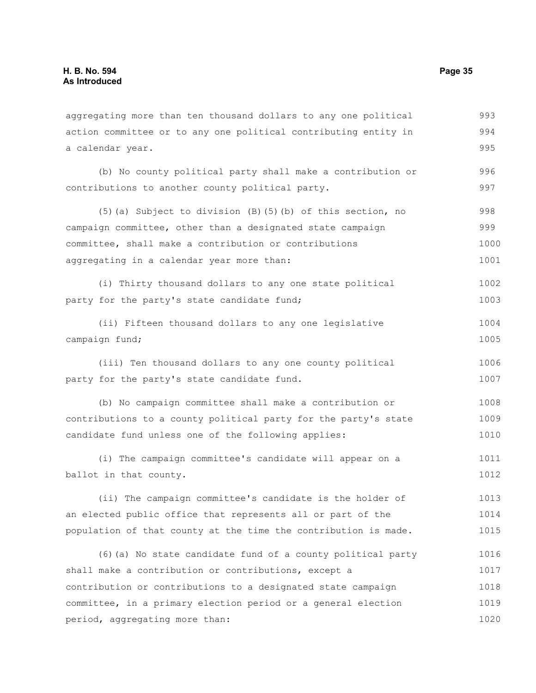aggregating more than ten thousand dollars to any one political action committee or to any one political contributing entity in a calendar year. (b) No county political party shall make a contribution or contributions to another county political party. (5)(a) Subject to division (B)(5)(b) of this section, no campaign committee, other than a designated state campaign committee, shall make a contribution or contributions aggregating in a calendar year more than: (i) Thirty thousand dollars to any one state political party for the party's state candidate fund; (ii) Fifteen thousand dollars to any one legislative campaign fund; (iii) Ten thousand dollars to any one county political party for the party's state candidate fund. (b) No campaign committee shall make a contribution or contributions to a county political party for the party's state candidate fund unless one of the following applies: (i) The campaign committee's candidate will appear on a ballot in that county. (ii) The campaign committee's candidate is the holder of an elected public office that represents all or part of the population of that county at the time the contribution is made. (6)(a) No state candidate fund of a county political party shall make a contribution or contributions, except a contribution or contributions to a designated state campaign committee, in a primary election period or a general election period, aggregating more than: 993 994 995 996 997 998 999 1000 1001 1002 1003 1004 1005 1006 1007 1008 1009 1010 1011 1012 1013 1014 1015 1016 1017 1018 1019 1020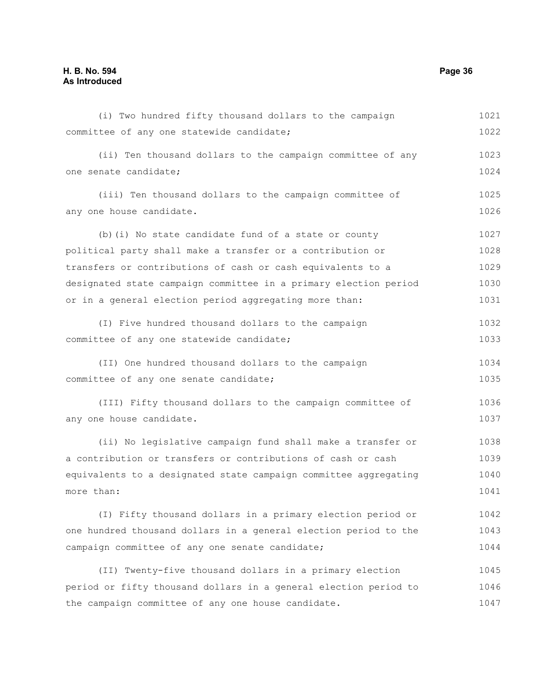| (i) Two hundred fifty thousand dollars to the campaign           | 1021 |
|------------------------------------------------------------------|------|
| committee of any one statewide candidate;                        | 1022 |
| (ii) Ten thousand dollars to the campaign committee of any       | 1023 |
| one senate candidate;                                            |      |
| (iii) Ten thousand dollars to the campaign committee of          | 1025 |
| any one house candidate.                                         | 1026 |
| (b) (i) No state candidate fund of a state or county             | 1027 |
| political party shall make a transfer or a contribution or       | 1028 |
| transfers or contributions of cash or cash equivalents to a      | 1029 |
| designated state campaign committee in a primary election period | 1030 |
| or in a general election period aggregating more than:           | 1031 |
| (I) Five hundred thousand dollars to the campaign                | 1032 |
| committee of any one statewide candidate;                        | 1033 |
| (II) One hundred thousand dollars to the campaign                | 1034 |
| committee of any one senate candidate;                           | 1035 |
| (III) Fifty thousand dollars to the campaign committee of        | 1036 |
| any one house candidate.                                         | 1037 |
| (ii) No legislative campaign fund shall make a transfer or       | 1038 |
| a contribution or transfers or contributions of cash or cash     | 1039 |
| equivalents to a designated state campaign committee aggregating | 1040 |
| more than:                                                       | 1041 |
| (I) Fifty thousand dollars in a primary election period or       | 1042 |
| one hundred thousand dollars in a general election period to the | 1043 |
| campaign committee of any one senate candidate;                  | 1044 |
| (II) Twenty-five thousand dollars in a primary election          | 1045 |
| period or fifty thousand dollars in a general election period to | 1046 |
| the campaign committee of any one house candidate.               | 1047 |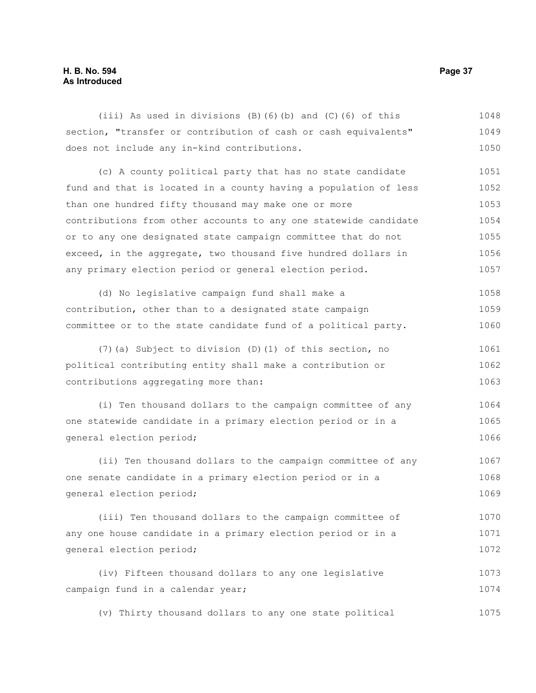# **H. B. No. 594 Page 37 As Introduced**

(iii) As used in divisions (B)(6)(b) and (C)(6) of this section, "transfer or contribution of cash or cash equivalents" does not include any in-kind contributions. 1048 1049 1050

(c) A county political party that has no state candidate fund and that is located in a county having a population of less than one hundred fifty thousand may make one or more contributions from other accounts to any one statewide candidate or to any one designated state campaign committee that do not exceed, in the aggregate, two thousand five hundred dollars in any primary election period or general election period. 1051 1052 1053 1054 1055 1056 1057

(d) No legislative campaign fund shall make a contribution, other than to a designated state campaign committee or to the state candidate fund of a political party. 1058 1059 1060

(7)(a) Subject to division (D)(1) of this section, no political contributing entity shall make a contribution or contributions aggregating more than: 1061 1062 1063

(i) Ten thousand dollars to the campaign committee of any one statewide candidate in a primary election period or in a general election period; 1064 1065 1066

(ii) Ten thousand dollars to the campaign committee of any one senate candidate in a primary election period or in a general election period; 1067 1068 1069

(iii) Ten thousand dollars to the campaign committee of any one house candidate in a primary election period or in a general election period; 1070 1071 1072

(iv) Fifteen thousand dollars to any one legislative campaign fund in a calendar year; 1073 1074

(v) Thirty thousand dollars to any one state political 1075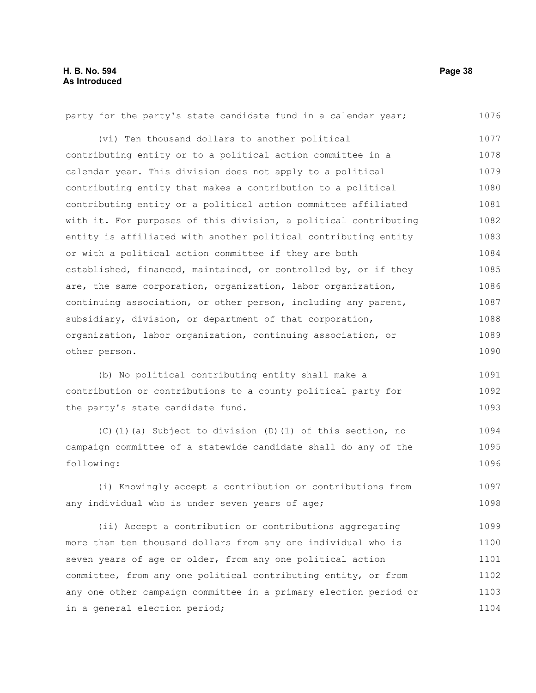| party for the party's state candidate fund in a calendar year;   | 1076 |
|------------------------------------------------------------------|------|
| (vi) Ten thousand dollars to another political                   | 1077 |
| contributing entity or to a political action committee in a      | 1078 |
| calendar year. This division does not apply to a political       | 1079 |
| contributing entity that makes a contribution to a political     | 1080 |
| contributing entity or a political action committee affiliated   | 1081 |
| with it. For purposes of this division, a political contributing | 1082 |
| entity is affiliated with another political contributing entity  | 1083 |
| or with a political action committee if they are both            | 1084 |
| established, financed, maintained, or controlled by, or if they  | 1085 |
| are, the same corporation, organization, labor organization,     | 1086 |
| continuing association, or other person, including any parent,   | 1087 |
| subsidiary, division, or department of that corporation,         | 1088 |
| organization, labor organization, continuing association, or     | 1089 |
| other person.                                                    | 1090 |
|                                                                  |      |
| (b) No political contributing entity shall make a                | 1091 |
| contribution or contributions to a county political party for    | 1092 |
| the party's state candidate fund.                                | 1093 |
| (C)(1)(a) Subject to division (D)(1) of this section, no         | 1094 |
| campaign committee of a statewide candidate shall do any of the  | 1095 |
| following:                                                       | 1096 |
| (i) Knowingly accept a contribution or contributions from        | 1097 |
| any individual who is under seven years of age;                  | 1098 |
|                                                                  |      |
| (ii) Accept a contribution or contributions aggregating          | 1099 |
| more than ten thousand dollars from any one individual who is    | 1100 |
| seven years of age or older, from any one political action       | 1101 |
| committee, from any one political contributing entity, or from   |      |
|                                                                  | 1102 |
| any one other campaign committee in a primary election period or | 1103 |
| in a general election period;                                    | 1104 |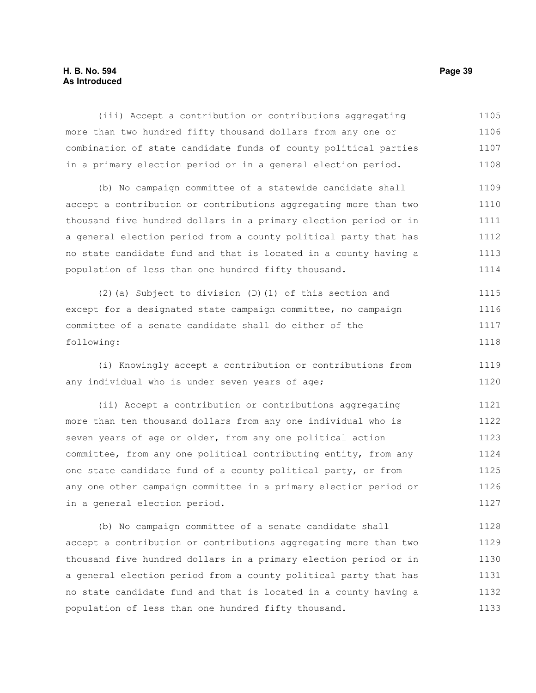# **H. B. No. 594 Page 39 As Introduced**

(iii) Accept a contribution or contributions aggregating more than two hundred fifty thousand dollars from any one or combination of state candidate funds of county political parties in a primary election period or in a general election period. 1105 1106 1107 1108

(b) No campaign committee of a statewide candidate shall accept a contribution or contributions aggregating more than two thousand five hundred dollars in a primary election period or in a general election period from a county political party that has no state candidate fund and that is located in a county having a population of less than one hundred fifty thousand. 1109 1110 1111 1112 1113 1114

(2)(a) Subject to division (D)(1) of this section and except for a designated state campaign committee, no campaign committee of a senate candidate shall do either of the following: 1115 1116 1117 1118

(i) Knowingly accept a contribution or contributions from any individual who is under seven years of age; 1119 1120

(ii) Accept a contribution or contributions aggregating more than ten thousand dollars from any one individual who is seven years of age or older, from any one political action committee, from any one political contributing entity, from any one state candidate fund of a county political party, or from any one other campaign committee in a primary election period or in a general election period. 1121 1122 1123 1124 1125 1126 1127

(b) No campaign committee of a senate candidate shall accept a contribution or contributions aggregating more than two thousand five hundred dollars in a primary election period or in a general election period from a county political party that has no state candidate fund and that is located in a county having a population of less than one hundred fifty thousand. 1128 1129 1130 1131 1132 1133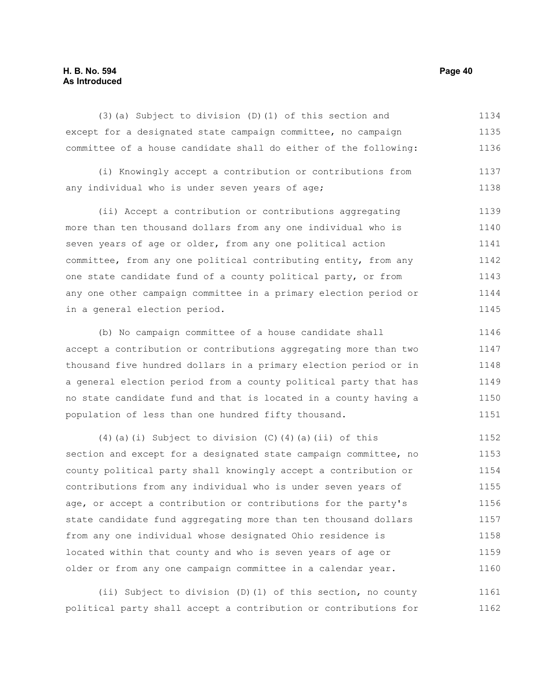# **H. B. No. 594 Page 40 As Introduced**

(3)(a) Subject to division (D)(1) of this section and except for a designated state campaign committee, no campaign committee of a house candidate shall do either of the following: 1134 1135 1136

(i) Knowingly accept a contribution or contributions from any individual who is under seven years of age; 1137 1138

(ii) Accept a contribution or contributions aggregating more than ten thousand dollars from any one individual who is seven years of age or older, from any one political action committee, from any one political contributing entity, from any one state candidate fund of a county political party, or from any one other campaign committee in a primary election period or in a general election period. 1139 1140 1141 1142 1143 1144 1145

(b) No campaign committee of a house candidate shall accept a contribution or contributions aggregating more than two thousand five hundred dollars in a primary election period or in a general election period from a county political party that has no state candidate fund and that is located in a county having a population of less than one hundred fifty thousand. 1146 1147 1148 1149 1150 1151

(4)(a)(i) Subject to division (C)(4)(a)(ii) of this section and except for a designated state campaign committee, no county political party shall knowingly accept a contribution or contributions from any individual who is under seven years of age, or accept a contribution or contributions for the party's state candidate fund aggregating more than ten thousand dollars from any one individual whose designated Ohio residence is located within that county and who is seven years of age or older or from any one campaign committee in a calendar year. 1152 1153 1154 1155 1156 1157 1158 1159 1160

(ii) Subject to division (D)(1) of this section, no county political party shall accept a contribution or contributions for 1161 1162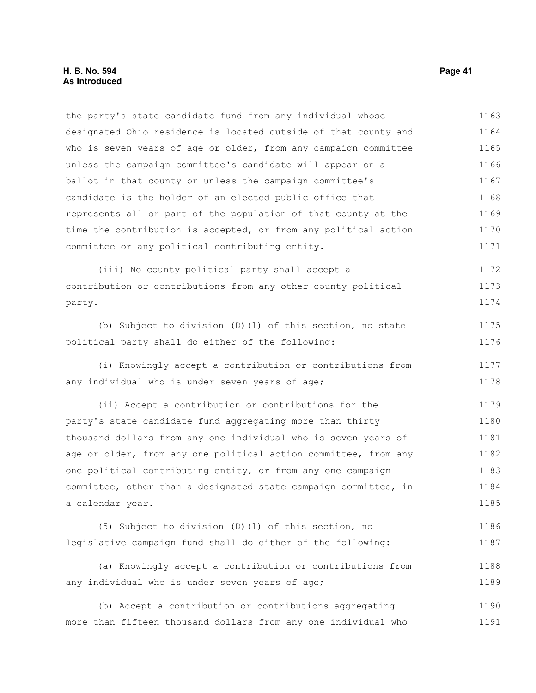### **H. B. No. 594 Page 41 As Introduced**

the party's state candidate fund from any individual whose designated Ohio residence is located outside of that county and who is seven years of age or older, from any campaign committee unless the campaign committee's candidate will appear on a ballot in that county or unless the campaign committee's candidate is the holder of an elected public office that represents all or part of the population of that county at the time the contribution is accepted, or from any political action committee or any political contributing entity. 1163 1164 1165 1166 1167 1168 1169 1170 1171

(iii) No county political party shall accept a contribution or contributions from any other county political party. 1172 1173 1174

(b) Subject to division (D)(1) of this section, no state political party shall do either of the following: 1175 1176

(i) Knowingly accept a contribution or contributions from any individual who is under seven years of age; 1177 1178

(ii) Accept a contribution or contributions for the party's state candidate fund aggregating more than thirty thousand dollars from any one individual who is seven years of age or older, from any one political action committee, from any one political contributing entity, or from any one campaign committee, other than a designated state campaign committee, in a calendar year. 1179 1180 1181 1182 1183 1184 1185

(5) Subject to division (D)(1) of this section, no legislative campaign fund shall do either of the following: 1186 1187

(a) Knowingly accept a contribution or contributions from any individual who is under seven years of age; 1188 1189

(b) Accept a contribution or contributions aggregating more than fifteen thousand dollars from any one individual who 1190 1191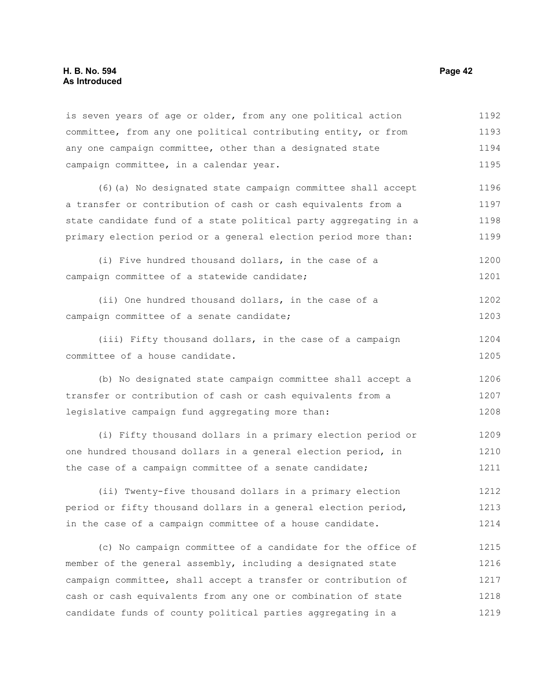is seven years of age or older, from any one political action committee, from any one political contributing entity, or from any one campaign committee, other than a designated state campaign committee, in a calendar year. 1192 1193 1194 1195

(6)(a) No designated state campaign committee shall accept a transfer or contribution of cash or cash equivalents from a state candidate fund of a state political party aggregating in a primary election period or a general election period more than: 1196 1197 1198 1199

(i) Five hundred thousand dollars, in the case of a campaign committee of a statewide candidate; 1200 1201

(ii) One hundred thousand dollars, in the case of a campaign committee of a senate candidate; 1202 1203

(iii) Fifty thousand dollars, in the case of a campaign committee of a house candidate. 1204 1205

(b) No designated state campaign committee shall accept a transfer or contribution of cash or cash equivalents from a legislative campaign fund aggregating more than: 1206 1207 1208

(i) Fifty thousand dollars in a primary election period or one hundred thousand dollars in a general election period, in the case of a campaign committee of a senate candidate; 1209 1210 1211

(ii) Twenty-five thousand dollars in a primary election period or fifty thousand dollars in a general election period, in the case of a campaign committee of a house candidate. 1212 1213 1214

(c) No campaign committee of a candidate for the office of member of the general assembly, including a designated state campaign committee, shall accept a transfer or contribution of cash or cash equivalents from any one or combination of state candidate funds of county political parties aggregating in a 1215 1216 1217 1218 1219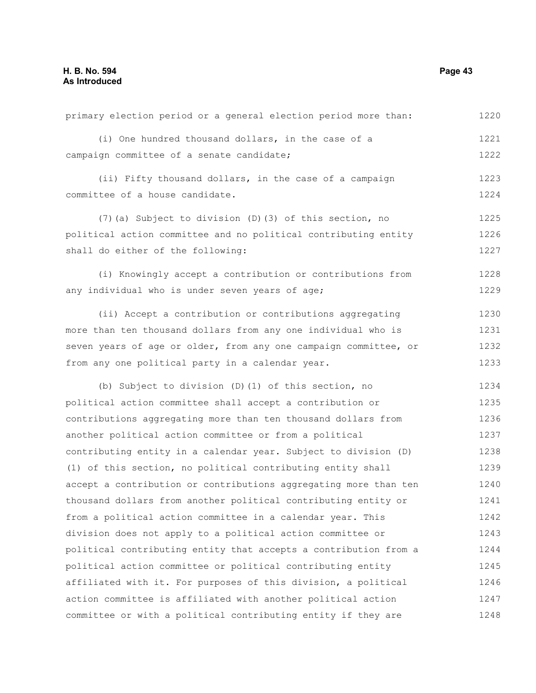| primary election period or a general election period more than:  | 1220 |
|------------------------------------------------------------------|------|
| (i) One hundred thousand dollars, in the case of a               | 1221 |
| campaign committee of a senate candidate;                        | 1222 |
| (ii) Fifty thousand dollars, in the case of a campaign           | 1223 |
| committee of a house candidate.                                  | 1224 |
| (7) (a) Subject to division (D) (3) of this section, no          | 1225 |
| political action committee and no political contributing entity  | 1226 |
| shall do either of the following:                                | 1227 |
| (i) Knowingly accept a contribution or contributions from        | 1228 |
| any individual who is under seven years of age;                  | 1229 |
| (ii) Accept a contribution or contributions aggregating          | 1230 |
| more than ten thousand dollars from any one individual who is    | 1231 |
| seven years of age or older, from any one campaign committee, or | 1232 |
| from any one political party in a calendar year.                 | 1233 |
| (b) Subject to division (D) (1) of this section, no              | 1234 |
| political action committee shall accept a contribution or        | 1235 |
| contributions aggregating more than ten thousand dollars from    | 1236 |
| another political action committee or from a political           | 1237 |
| contributing entity in a calendar year. Subject to division (D)  | 1238 |
| (1) of this section, no political contributing entity shall      | 1239 |
| accept a contribution or contributions aggregating more than ten | 1240 |
| thousand dollars from another political contributing entity or   | 1241 |
| from a political action committee in a calendar year. This       | 1242 |
| division does not apply to a political action committee or       | 1243 |
| political contributing entity that accepts a contribution from a | 1244 |
| political action committee or political contributing entity      | 1245 |
| affiliated with it. For purposes of this division, a political   | 1246 |
| action committee is affiliated with another political action     | 1247 |
| committee or with a political contributing entity if they are    | 1248 |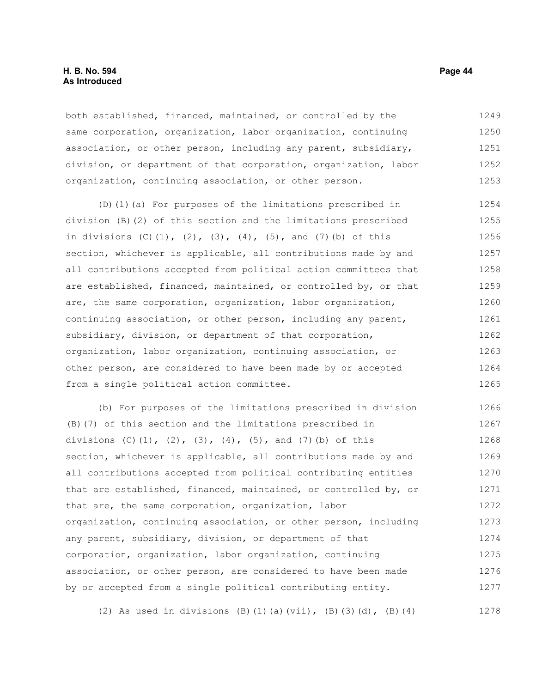### **H. B. No. 594 Page 44 As Introduced**

both established, financed, maintained, or controlled by the same corporation, organization, labor organization, continuing association, or other person, including any parent, subsidiary, division, or department of that corporation, organization, labor organization, continuing association, or other person. 1249 1250 1251 1252 1253

(D)(1)(a) For purposes of the limitations prescribed in division (B)(2) of this section and the limitations prescribed in divisions  $(C)$   $(1)$ ,  $(2)$ ,  $(3)$ ,  $(4)$ ,  $(5)$ , and  $(7)$   $(b)$  of this section, whichever is applicable, all contributions made by and all contributions accepted from political action committees that are established, financed, maintained, or controlled by, or that are, the same corporation, organization, labor organization, continuing association, or other person, including any parent, subsidiary, division, or department of that corporation, organization, labor organization, continuing association, or other person, are considered to have been made by or accepted from a single political action committee. 1254 1255 1256 1257 1258 1259 1260 1261 1262 1263 1264 1265

(b) For purposes of the limitations prescribed in division (B)(7) of this section and the limitations prescribed in divisions  $(C)$ (1),  $(2)$ ,  $(3)$ ,  $(4)$ ,  $(5)$ , and  $(7)$ (b) of this section, whichever is applicable, all contributions made by and all contributions accepted from political contributing entities that are established, financed, maintained, or controlled by, or that are, the same corporation, organization, labor organization, continuing association, or other person, including any parent, subsidiary, division, or department of that corporation, organization, labor organization, continuing association, or other person, are considered to have been made by or accepted from a single political contributing entity. 1266 1267 1268 1269 1270 1271 1272 1273 1274 1275 1276 1277

(2) As used in divisions (B)(1)(a)(vii), (B)(3)(d), (B)(4) 1278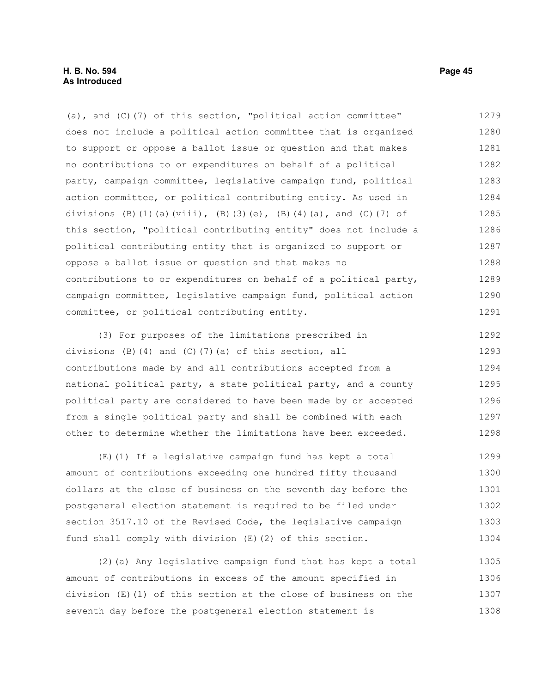(a), and (C)(7) of this section, "political action committee" does not include a political action committee that is organized to support or oppose a ballot issue or question and that makes no contributions to or expenditures on behalf of a political party, campaign committee, legislative campaign fund, political action committee, or political contributing entity. As used in divisions (B)(1)(a)(viii), (B)(3)(e), (B)(4)(a), and (C)(7) of this section, "political contributing entity" does not include a political contributing entity that is organized to support or oppose a ballot issue or question and that makes no contributions to or expenditures on behalf of a political party, campaign committee, legislative campaign fund, political action committee, or political contributing entity. 1279 1280 1281 1282 1283 1284 1285 1286 1287 1288 1289 1290 1291

(3) For purposes of the limitations prescribed in divisions (B)(4) and (C)(7)(a) of this section, all contributions made by and all contributions accepted from a national political party, a state political party, and a county political party are considered to have been made by or accepted from a single political party and shall be combined with each other to determine whether the limitations have been exceeded. 1292 1293 1294 1295 1296 1297 1298

(E)(1) If a legislative campaign fund has kept a total amount of contributions exceeding one hundred fifty thousand dollars at the close of business on the seventh day before the postgeneral election statement is required to be filed under section 3517.10 of the Revised Code, the legislative campaign fund shall comply with division (E)(2) of this section. 1299 1300 1301 1302 1303 1304

(2)(a) Any legislative campaign fund that has kept a total amount of contributions in excess of the amount specified in division (E)(1) of this section at the close of business on the seventh day before the postgeneral election statement is 1305 1306 1307 1308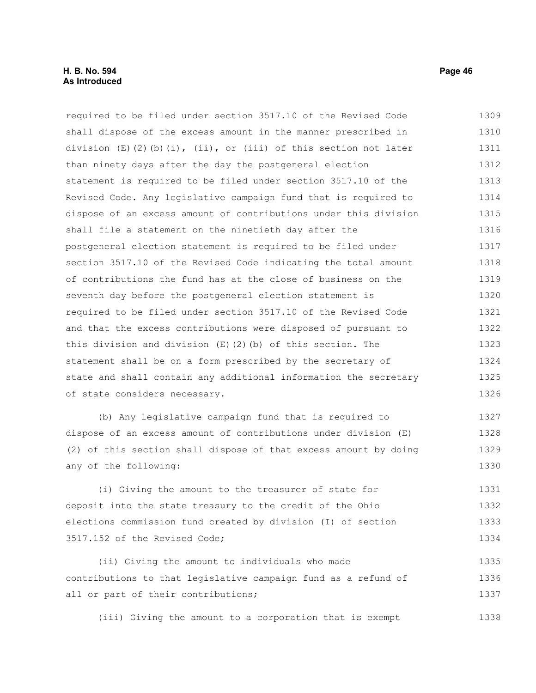required to be filed under section 3517.10 of the Revised Code shall dispose of the excess amount in the manner prescribed in division  $(E)(2)(b)(i)$ , (ii), or (iii) of this section not later than ninety days after the day the postgeneral election statement is required to be filed under section 3517.10 of the Revised Code. Any legislative campaign fund that is required to dispose of an excess amount of contributions under this division shall file a statement on the ninetieth day after the postgeneral election statement is required to be filed under section 3517.10 of the Revised Code indicating the total amount of contributions the fund has at the close of business on the seventh day before the postgeneral election statement is required to be filed under section 3517.10 of the Revised Code and that the excess contributions were disposed of pursuant to this division and division  $(E)(2)(b)$  of this section. The statement shall be on a form prescribed by the secretary of state and shall contain any additional information the secretary of state considers necessary. 1309 1310 1311 1312 1313 1314 1315 1316 1317 1318 1319 1320 1321 1322 1323 1324 1325 1326

(b) Any legislative campaign fund that is required to dispose of an excess amount of contributions under division (E) (2) of this section shall dispose of that excess amount by doing any of the following: 1327 1328 1329 1330

(i) Giving the amount to the treasurer of state for deposit into the state treasury to the credit of the Ohio elections commission fund created by division (I) of section 3517.152 of the Revised Code; 1331 1332 1333 1334

(ii) Giving the amount to individuals who made contributions to that legislative campaign fund as a refund of all or part of their contributions; 1335 1336 1337

(iii) Giving the amount to a corporation that is exempt 1338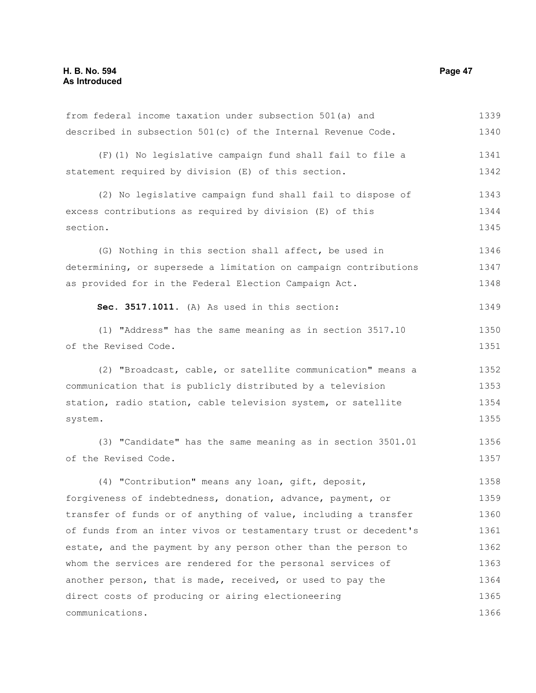| from federal income taxation under subsection 501(a) and         | 1339 |
|------------------------------------------------------------------|------|
| described in subsection 501(c) of the Internal Revenue Code.     | 1340 |
| (F) (1) No legislative campaign fund shall fail to file a        | 1341 |
| statement required by division (E) of this section.              | 1342 |
| (2) No legislative campaign fund shall fail to dispose of        | 1343 |
| excess contributions as required by division (E) of this         | 1344 |
| section.                                                         | 1345 |
| (G) Nothing in this section shall affect, be used in             | 1346 |
| determining, or supersede a limitation on campaign contributions | 1347 |
| as provided for in the Federal Election Campaign Act.            | 1348 |
| Sec. 3517.1011. (A) As used in this section:                     | 1349 |
| (1) "Address" has the same meaning as in section 3517.10         | 1350 |
| of the Revised Code.                                             | 1351 |
| (2) "Broadcast, cable, or satellite communication" means a       | 1352 |
| communication that is publicly distributed by a television       | 1353 |
| station, radio station, cable television system, or satellite    | 1354 |
| system.                                                          | 1355 |
| (3) "Candidate" has the same meaning as in section 3501.01       | 1356 |
| of the Revised Code.                                             | 1357 |
| (4) "Contribution" means any loan, gift, deposit,                | 1358 |
| forgiveness of indebtedness, donation, advance, payment, or      | 1359 |
| transfer of funds or of anything of value, including a transfer  | 1360 |
| of funds from an inter vivos or testamentary trust or decedent's | 1361 |
| estate, and the payment by any person other than the person to   | 1362 |
| whom the services are rendered for the personal services of      | 1363 |
| another person, that is made, received, or used to pay the       | 1364 |
| direct costs of producing or airing electioneering               | 1365 |
| communications.                                                  | 1366 |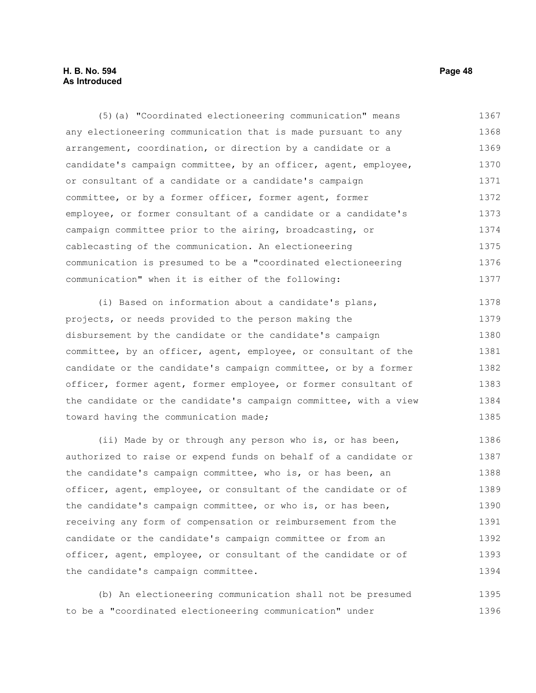## **H. B. No. 594 Page 48 As Introduced**

(5)(a) "Coordinated electioneering communication" means any electioneering communication that is made pursuant to any arrangement, coordination, or direction by a candidate or a candidate's campaign committee, by an officer, agent, employee, or consultant of a candidate or a candidate's campaign committee, or by a former officer, former agent, former employee, or former consultant of a candidate or a candidate's campaign committee prior to the airing, broadcasting, or cablecasting of the communication. An electioneering communication is presumed to be a "coordinated electioneering communication" when it is either of the following: 1367 1368 1369 1370 1371 1372 1373 1374 1375 1376 1377

(i) Based on information about a candidate's plans, projects, or needs provided to the person making the disbursement by the candidate or the candidate's campaign committee, by an officer, agent, employee, or consultant of the candidate or the candidate's campaign committee, or by a former officer, former agent, former employee, or former consultant of the candidate or the candidate's campaign committee, with a view toward having the communication made; 1378 1379 1380 1381 1382 1383 1384 1385

(ii) Made by or through any person who is, or has been, authorized to raise or expend funds on behalf of a candidate or the candidate's campaign committee, who is, or has been, an officer, agent, employee, or consultant of the candidate or of the candidate's campaign committee, or who is, or has been, receiving any form of compensation or reimbursement from the candidate or the candidate's campaign committee or from an officer, agent, employee, or consultant of the candidate or of the candidate's campaign committee. 1386 1387 1388 1389 1390 1391 1392 1393 1394

(b) An electioneering communication shall not be presumed to be a "coordinated electioneering communication" under 1395 1396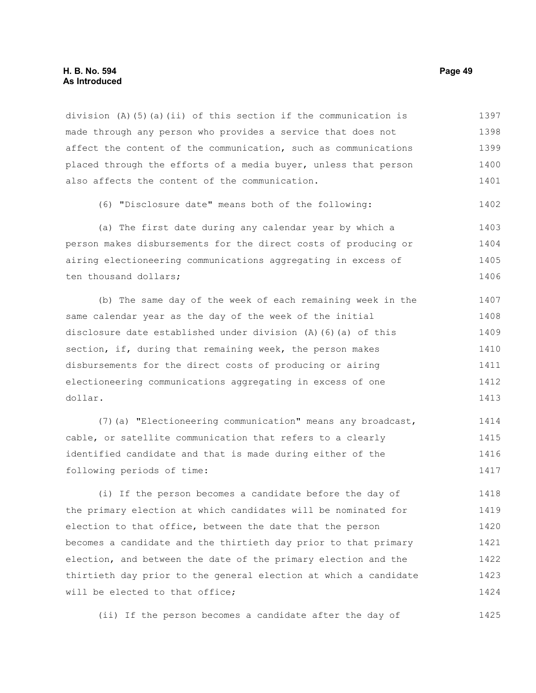### **H. B. No. 594 Page 49 As Introduced**

division (A)(5)(a)(ii) of this section if the communication is made through any person who provides a service that does not affect the content of the communication, such as communications placed through the efforts of a media buyer, unless that person also affects the content of the communication. 1397 1398 1399 1400 1401

(6) "Disclosure date" means both of the following: 1402

(a) The first date during any calendar year by which a person makes disbursements for the direct costs of producing or airing electioneering communications aggregating in excess of ten thousand dollars; 1403 1404 1405 1406

(b) The same day of the week of each remaining week in the same calendar year as the day of the week of the initial disclosure date established under division (A)(6)(a) of this section, if, during that remaining week, the person makes disbursements for the direct costs of producing or airing electioneering communications aggregating in excess of one dollar. 1407 1408 1409 1410 1411 1412 1413

(7)(a) "Electioneering communication" means any broadcast, cable, or satellite communication that refers to a clearly identified candidate and that is made during either of the following periods of time: 1414 1415 1416 1417

(i) If the person becomes a candidate before the day of the primary election at which candidates will be nominated for election to that office, between the date that the person becomes a candidate and the thirtieth day prior to that primary election, and between the date of the primary election and the thirtieth day prior to the general election at which a candidate will be elected to that office; 1418 1419 1420 1421 1422 1423 1424

(ii) If the person becomes a candidate after the day of 1425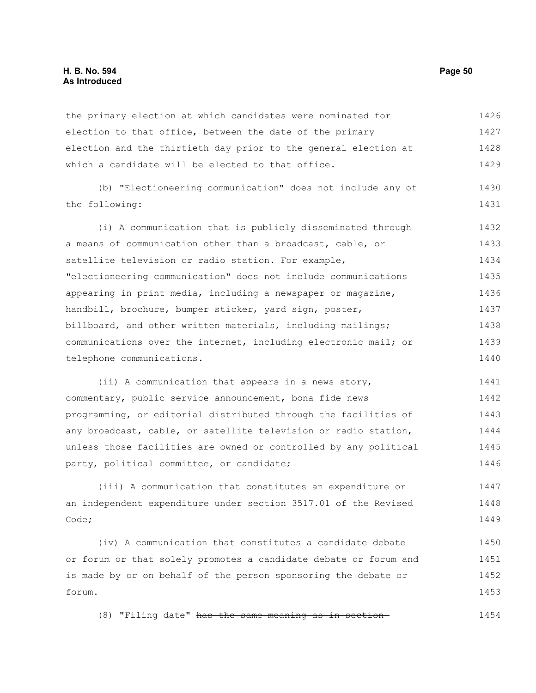### **H. B. No. 594 Page 50 As Introduced**

the primary election at which candidates were nominated for election to that office, between the date of the primary election and the thirtieth day prior to the general election at which a candidate will be elected to that office. 1426 1427 1428 1429

(b) "Electioneering communication" does not include any of the following: 1430 1431

(i) A communication that is publicly disseminated through a means of communication other than a broadcast, cable, or satellite television or radio station. For example, "electioneering communication" does not include communications appearing in print media, including a newspaper or magazine, handbill, brochure, bumper sticker, yard sign, poster, billboard, and other written materials, including mailings; communications over the internet, including electronic mail; or telephone communications. 1432 1433 1434 1435 1436 1437 1438 1439 1440

(ii) A communication that appears in a news story, commentary, public service announcement, bona fide news programming, or editorial distributed through the facilities of any broadcast, cable, or satellite television or radio station, unless those facilities are owned or controlled by any political party, political committee, or candidate; 1441 1442 1443 1444 1445 1446

(iii) A communication that constitutes an expenditure or an independent expenditure under section 3517.01 of the Revised Code; 1447 1448 1449

(iv) A communication that constitutes a candidate debate or forum or that solely promotes a candidate debate or forum and is made by or on behalf of the person sponsoring the debate or forum. 1450 1451 1452 1453

(8) "Filing date" has the same meaning as in section 1454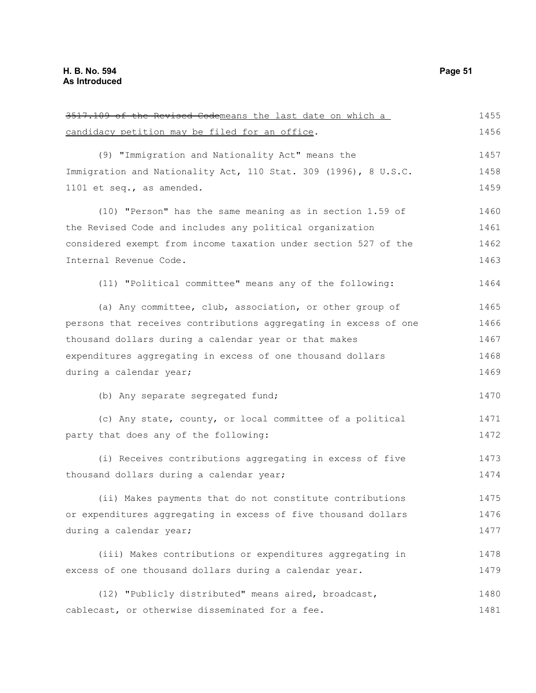| 3517.109 of the Revised Codemeans the last date on which a       | 1455 |
|------------------------------------------------------------------|------|
| candidacy petition may be filed for an office.                   | 1456 |
| (9) "Immigration and Nationality Act" means the                  | 1457 |
| Immigration and Nationality Act, 110 Stat. 309 (1996), 8 U.S.C.  | 1458 |
| 1101 et seq., as amended.                                        | 1459 |
| (10) "Person" has the same meaning as in section 1.59 of         | 1460 |
| the Revised Code and includes any political organization         | 1461 |
| considered exempt from income taxation under section 527 of the  | 1462 |
| Internal Revenue Code.                                           | 1463 |
| (11) "Political committee" means any of the following:           | 1464 |
| (a) Any committee, club, association, or other group of          | 1465 |
| persons that receives contributions aggregating in excess of one | 1466 |
| thousand dollars during a calendar year or that makes            | 1467 |
| expenditures aggregating in excess of one thousand dollars       | 1468 |
| during a calendar year;                                          | 1469 |
| (b) Any separate segregated fund;                                | 1470 |
| (c) Any state, county, or local committee of a political         | 1471 |
| party that does any of the following:                            | 1472 |
| (i) Receives contributions aggregating in excess of five         | 1473 |
| thousand dollars during a calendar year;                         | 1474 |
| (ii) Makes payments that do not constitute contributions         | 1475 |
| or expenditures aggregating in excess of five thousand dollars   | 1476 |
| during a calendar year;                                          | 1477 |
| (iii) Makes contributions or expenditures aggregating in         | 1478 |
| excess of one thousand dollars during a calendar year.           | 1479 |
| (12) "Publicly distributed" means aired, broadcast,              | 1480 |
| cablecast, or otherwise disseminated for a fee.                  | 1481 |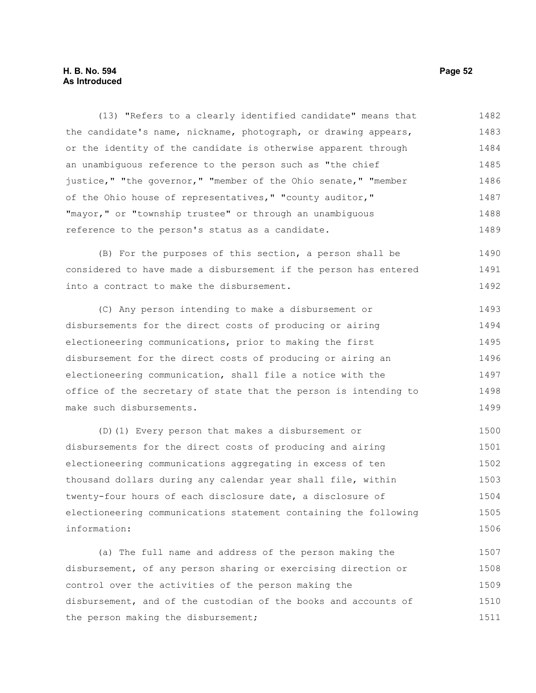# **H. B. No. 594 Page 52 As Introduced**

(13) "Refers to a clearly identified candidate" means that the candidate's name, nickname, photograph, or drawing appears, or the identity of the candidate is otherwise apparent through an unambiguous reference to the person such as "the chief justice," "the governor," "member of the Ohio senate," "member of the Ohio house of representatives," "county auditor," "mayor," or "township trustee" or through an unambiguous reference to the person's status as a candidate. 1482 1483 1484 1485 1486 1487 1488 1489

(B) For the purposes of this section, a person shall be considered to have made a disbursement if the person has entered into a contract to make the disbursement. 1490 1491 1492

(C) Any person intending to make a disbursement or disbursements for the direct costs of producing or airing electioneering communications, prior to making the first disbursement for the direct costs of producing or airing an electioneering communication, shall file a notice with the office of the secretary of state that the person is intending to make such disbursements. 1493 1494 1495 1496 1497 1498 1499

(D)(1) Every person that makes a disbursement or disbursements for the direct costs of producing and airing electioneering communications aggregating in excess of ten thousand dollars during any calendar year shall file, within twenty-four hours of each disclosure date, a disclosure of electioneering communications statement containing the following information: 1500 1501 1502 1503 1504 1505 1506

(a) The full name and address of the person making the disbursement, of any person sharing or exercising direction or control over the activities of the person making the disbursement, and of the custodian of the books and accounts of the person making the disbursement; 1507 1508 1509 1510 1511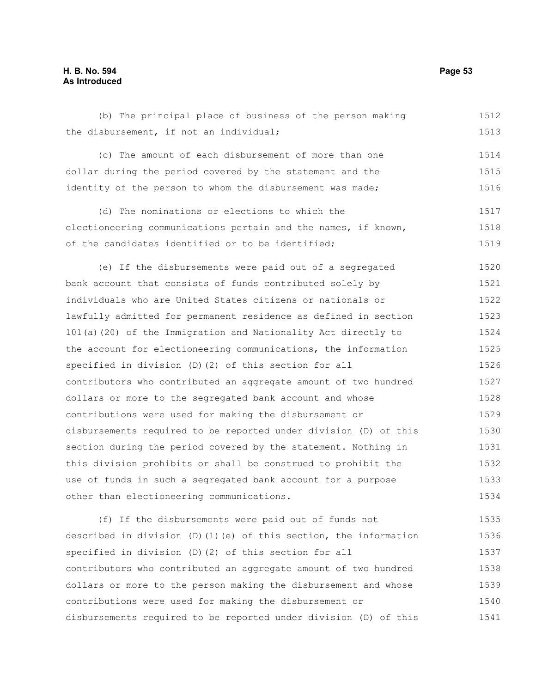## **H. B. No. 594 Page 53 As Introduced**

the disbursement, if not an individual; (c) The amount of each disbursement of more than one dollar during the period covered by the statement and the identity of the person to whom the disbursement was made; (d) The nominations or elections to which the electioneering communications pertain and the names, if known, of the candidates identified or to be identified; (e) If the disbursements were paid out of a segregated bank account that consists of funds contributed solely by individuals who are United States citizens or nationals or lawfully admitted for permanent residence as defined in section 101(a)(20) of the Immigration and Nationality Act directly to the account for electioneering communications, the information specified in division (D)(2) of this section for all contributors who contributed an aggregate amount of two hundred 1513 1514 1515 1516 1517 1518 1519 1520 1521 1522 1523 1524 1525 1526 1527

(b) The principal place of business of the person making

contributions were used for making the disbursement or disbursements required to be reported under division (D) of this section during the period covered by the statement. Nothing in this division prohibits or shall be construed to prohibit the use of funds in such a segregated bank account for a purpose other than electioneering communications. 1529 1530 1531 1532 1533 1534

dollars or more to the segregated bank account and whose

(f) If the disbursements were paid out of funds not described in division (D)(1)(e) of this section, the information specified in division (D)(2) of this section for all contributors who contributed an aggregate amount of two hundred dollars or more to the person making the disbursement and whose contributions were used for making the disbursement or disbursements required to be reported under division (D) of this 1535 1536 1537 1538 1539 1540 1541

1512

1528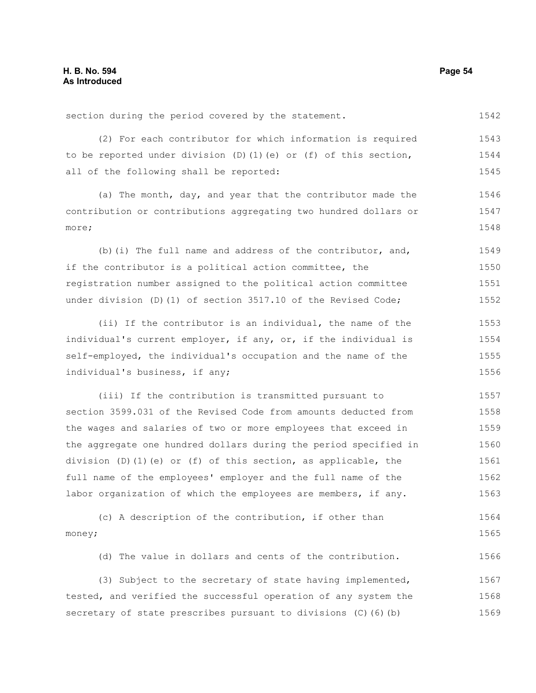section during the period covered by the statement.

(2) For each contributor for which information is required to be reported under division (D)(1)(e) or (f) of this section, all of the following shall be reported: 1543 1544 1545

(a) The month, day, and year that the contributor made the contribution or contributions aggregating two hundred dollars or more; 1546 1547 1548

(b)(i) The full name and address of the contributor, and, if the contributor is a political action committee, the registration number assigned to the political action committee under division (D)(1) of section 3517.10 of the Revised Code; 1549 1550 1551 1552

(ii) If the contributor is an individual, the name of the individual's current employer, if any, or, if the individual is self-employed, the individual's occupation and the name of the individual's business, if any; 1553 1554 1555 1556

(iii) If the contribution is transmitted pursuant to section 3599.031 of the Revised Code from amounts deducted from the wages and salaries of two or more employees that exceed in the aggregate one hundred dollars during the period specified in division (D)(1)(e) or (f) of this section, as applicable, the full name of the employees' employer and the full name of the labor organization of which the employees are members, if any. 1557 1558 1559 1560 1561 1562 1563

(c) A description of the contribution, if other than money; 1564 1565

(d) The value in dollars and cents of the contribution. 1566

(3) Subject to the secretary of state having implemented, tested, and verified the successful operation of any system the secretary of state prescribes pursuant to divisions (C)(6)(b) 1567 1568 1569

1542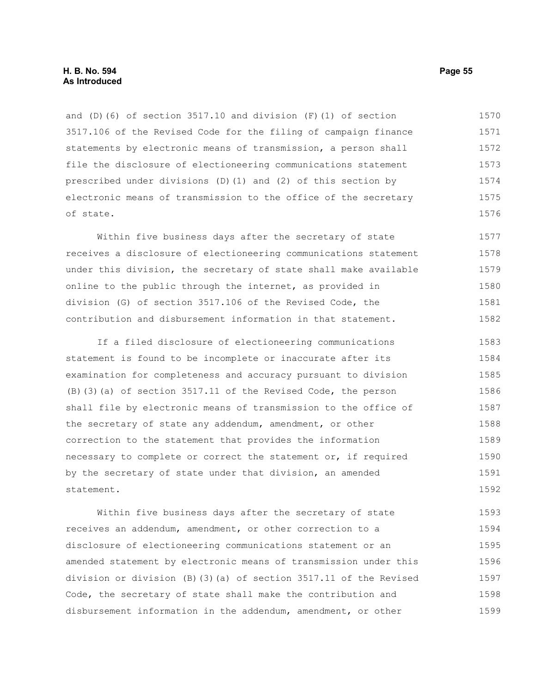and (D)(6) of section 3517.10 and division (F)(1) of section 3517.106 of the Revised Code for the filing of campaign finance statements by electronic means of transmission, a person shall file the disclosure of electioneering communications statement prescribed under divisions (D)(1) and (2) of this section by electronic means of transmission to the office of the secretary of state. 1570 1571 1572 1573 1574 1575 1576

Within five business days after the secretary of state receives a disclosure of electioneering communications statement under this division, the secretary of state shall make available online to the public through the internet, as provided in division (G) of section 3517.106 of the Revised Code, the contribution and disbursement information in that statement. 1577 1578 1579 1580 1581 1582

If a filed disclosure of electioneering communications statement is found to be incomplete or inaccurate after its examination for completeness and accuracy pursuant to division (B)(3)(a) of section 3517.11 of the Revised Code, the person shall file by electronic means of transmission to the office of the secretary of state any addendum, amendment, or other correction to the statement that provides the information necessary to complete or correct the statement or, if required by the secretary of state under that division, an amended statement. 1583 1584 1585 1586 1587 1588 1589 1590 1591 1592

Within five business days after the secretary of state receives an addendum, amendment, or other correction to a disclosure of electioneering communications statement or an amended statement by electronic means of transmission under this division or division (B)(3)(a) of section 3517.11 of the Revised Code, the secretary of state shall make the contribution and disbursement information in the addendum, amendment, or other 1593 1594 1595 1596 1597 1598 1599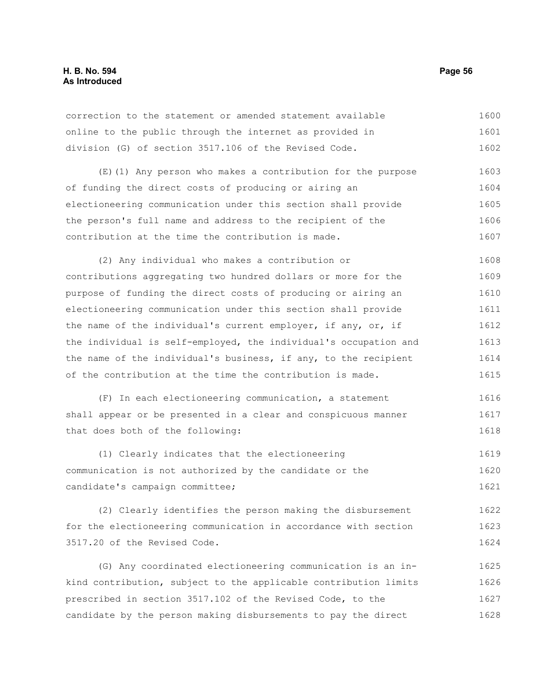## **H. B. No. 594 Page 56 As Introduced**

| correction to the statement or amended statement available | 1600 |
|------------------------------------------------------------|------|
| online to the public through the internet as provided in   | 1601 |
| division (G) of section 3517.106 of the Revised Code.      | 1602 |

(E)(1) Any person who makes a contribution for the purpose of funding the direct costs of producing or airing an electioneering communication under this section shall provide the person's full name and address to the recipient of the contribution at the time the contribution is made. 1603 1604 1605 1606 1607

(2) Any individual who makes a contribution or contributions aggregating two hundred dollars or more for the purpose of funding the direct costs of producing or airing an electioneering communication under this section shall provide the name of the individual's current employer, if any, or, if the individual is self-employed, the individual's occupation and the name of the individual's business, if any, to the recipient of the contribution at the time the contribution is made. 1608 1609 1610 1611 1612 1613 1614 1615

(F) In each electioneering communication, a statement shall appear or be presented in a clear and conspicuous manner that does both of the following: 1616 1617 1618

(1) Clearly indicates that the electioneering communication is not authorized by the candidate or the candidate's campaign committee; 1619 1620 1621

(2) Clearly identifies the person making the disbursement for the electioneering communication in accordance with section 3517.20 of the Revised Code. 1622 1623 1624

(G) Any coordinated electioneering communication is an inkind contribution, subject to the applicable contribution limits prescribed in section 3517.102 of the Revised Code, to the candidate by the person making disbursements to pay the direct 1625 1626 1627 1628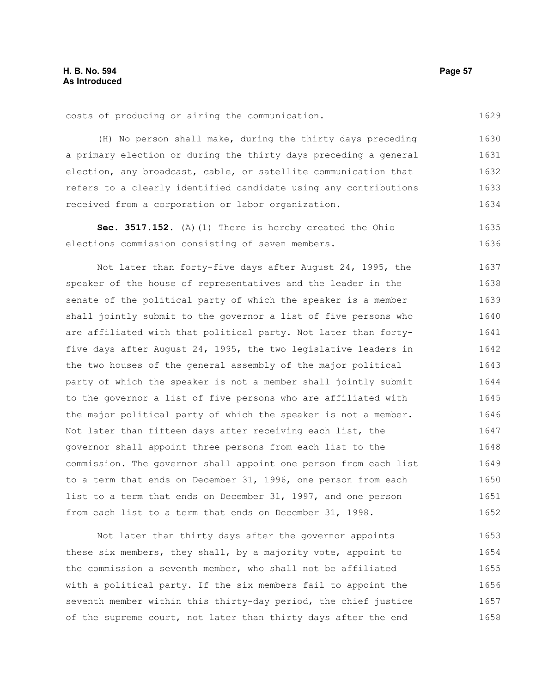costs of producing or airing the communication.

(H) No person shall make, during the thirty days preceding a primary election or during the thirty days preceding a general election, any broadcast, cable, or satellite communication that refers to a clearly identified candidate using any contributions received from a corporation or labor organization. 1630 1631 1632 1633 1634

**Sec. 3517.152.** (A)(1) There is hereby created the Ohio elections commission consisting of seven members. 1635 1636

Not later than forty-five days after August 24, 1995, the speaker of the house of representatives and the leader in the senate of the political party of which the speaker is a member shall jointly submit to the governor a list of five persons who are affiliated with that political party. Not later than fortyfive days after August 24, 1995, the two legislative leaders in the two houses of the general assembly of the major political party of which the speaker is not a member shall jointly submit to the governor a list of five persons who are affiliated with the major political party of which the speaker is not a member. Not later than fifteen days after receiving each list, the governor shall appoint three persons from each list to the commission. The governor shall appoint one person from each list to a term that ends on December 31, 1996, one person from each list to a term that ends on December 31, 1997, and one person from each list to a term that ends on December 31, 1998. 1637 1638 1639 1640 1641 1642 1643 1644 1645 1646 1647 1648 1649 1650 1651 1652

Not later than thirty days after the governor appoints these six members, they shall, by a majority vote, appoint to the commission a seventh member, who shall not be affiliated with a political party. If the six members fail to appoint the seventh member within this thirty-day period, the chief justice of the supreme court, not later than thirty days after the end 1653 1654 1655 1656 1657 1658

1629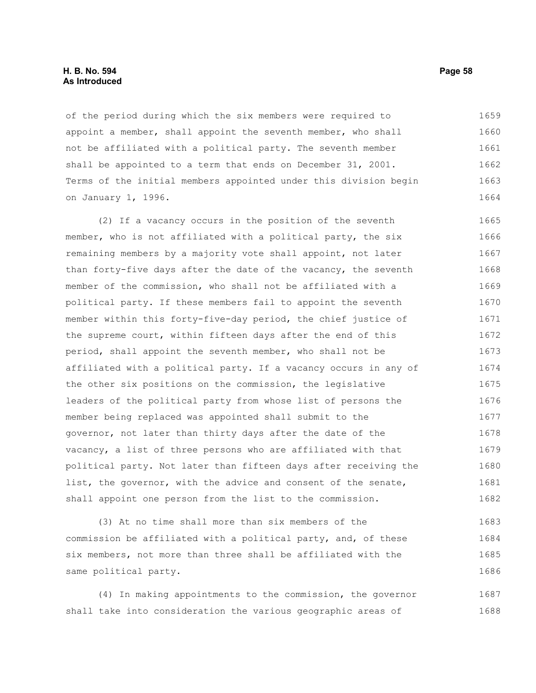### **H. B. No. 594 Page 58 As Introduced**

of the period during which the six members were required to appoint a member, shall appoint the seventh member, who shall not be affiliated with a political party. The seventh member shall be appointed to a term that ends on December 31, 2001. Terms of the initial members appointed under this division begin on January 1, 1996. 1659 1660 1661 1662 1663 1664

(2) If a vacancy occurs in the position of the seventh member, who is not affiliated with a political party, the six remaining members by a majority vote shall appoint, not later than forty-five days after the date of the vacancy, the seventh member of the commission, who shall not be affiliated with a political party. If these members fail to appoint the seventh member within this forty-five-day period, the chief justice of the supreme court, within fifteen days after the end of this period, shall appoint the seventh member, who shall not be affiliated with a political party. If a vacancy occurs in any of the other six positions on the commission, the legislative leaders of the political party from whose list of persons the member being replaced was appointed shall submit to the governor, not later than thirty days after the date of the vacancy, a list of three persons who are affiliated with that political party. Not later than fifteen days after receiving the list, the governor, with the advice and consent of the senate, shall appoint one person from the list to the commission. 1665 1666 1667 1668 1669 1670 1671 1672 1673 1674 1675 1676 1677 1678 1679 1680 1681 1682

(3) At no time shall more than six members of the commission be affiliated with a political party, and, of these six members, not more than three shall be affiliated with the same political party. 1683 1684 1685 1686

(4) In making appointments to the commission, the governor shall take into consideration the various geographic areas of 1687 1688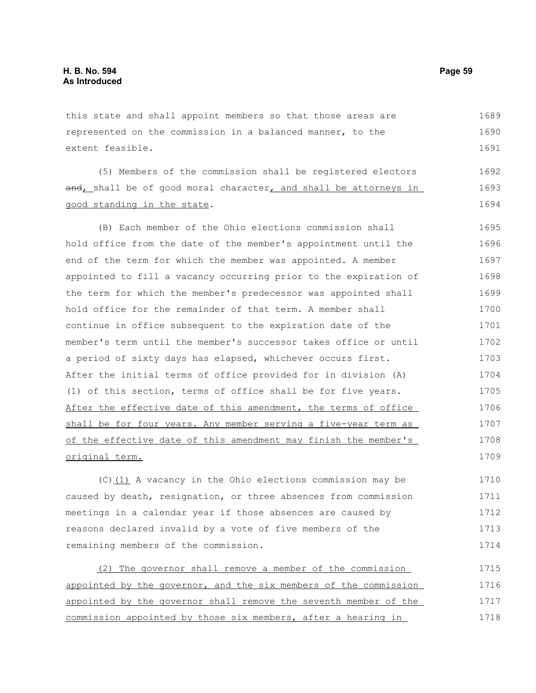extent feasible.

this state and shall appoint members so that those areas are represented on the commission in a balanced manner, to the (5) Members of the commission shall be registered electors and, shall be of good moral character, and shall be attorneys in good standing in the state. (B) Each member of the Ohio elections commission shall hold office from the date of the member's appointment until the 1689 1690 1691 1692 1693 1694 1695 1696 1697 1698 1699 1700

end of the term for which the member was appointed. A member appointed to fill a vacancy occurring prior to the expiration of the term for which the member's predecessor was appointed shall hold office for the remainder of that term. A member shall continue in office subsequent to the expiration date of the member's term until the member's successor takes office or until a period of sixty days has elapsed, whichever occurs first. After the initial terms of office provided for in division (A) (1) of this section, terms of office shall be for five years. After the effective date of this amendment, the terms of office shall be for four years. Any member serving a five-year term as of the effective date of this amendment may finish the member's original term. 1701 1702 1703 1704 1705 1706 1707 1708 1709

(C)(1) A vacancy in the Ohio elections commission may be caused by death, resignation, or three absences from commission meetings in a calendar year if those absences are caused by reasons declared invalid by a vote of five members of the remaining members of the commission. 1710 1711 1712 1713 1714

(2) The governor shall remove a member of the commission appointed by the governor, and the six members of the commission appointed by the governor shall remove the seventh member of the commission appointed by those six members, after a hearing in 1715 1716 1717 1718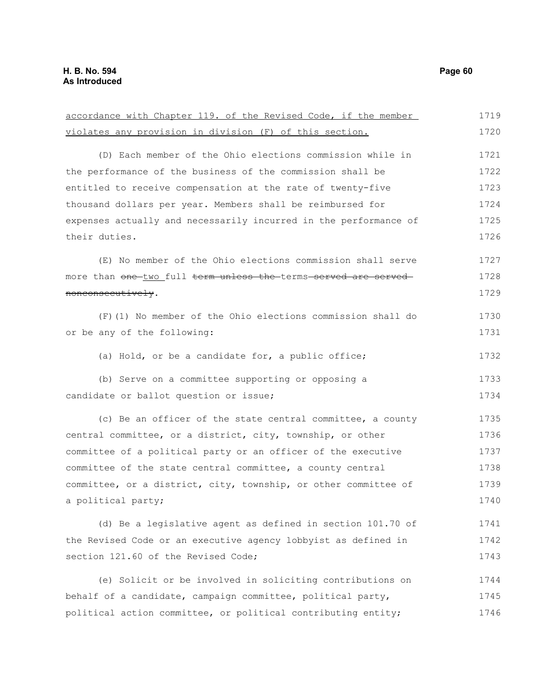accordance with Chapter 119. of the Revised Code, if the member violates any provision in division (F) of this section. (D) Each member of the Ohio elections commission while in the performance of the business of the commission shall be entitled to receive compensation at the rate of twenty-five thousand dollars per year. Members shall be reimbursed for expenses actually and necessarily incurred in the performance of their duties. (E) No member of the Ohio elections commission shall serve more than one two full term unless the terms served are served nonconsecutively. (F)(1) No member of the Ohio elections commission shall do or be any of the following: (a) Hold, or be a candidate for, a public office; (b) Serve on a committee supporting or opposing a candidate or ballot question or issue; (c) Be an officer of the state central committee, a county central committee, or a district, city, township, or other committee of a political party or an officer of the executive committee of the state central committee, a county central committee, or a district, city, township, or other committee of a political party; (d) Be a legislative agent as defined in section 101.70 of the Revised Code or an executive agency lobbyist as defined in section 121.60 of the Revised Code: (e) Solicit or be involved in soliciting contributions on behalf of a candidate, campaign committee, political party, political action committee, or political contributing entity; 1719 1720 1721 1722 1723 1724 1725 1726 1727 1728 1729 1730 1731 1732 1733 1734 1735 1736 1737 1738 1739 1740 1741 1742 1743 1744 1745 1746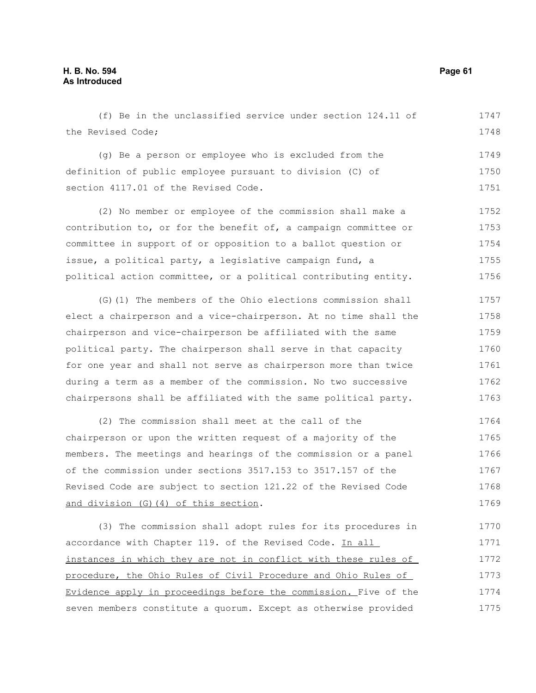(f) Be in the unclassified service under section 124.11 of the Revised Code; 1747 1748

(g) Be a person or employee who is excluded from the definition of public employee pursuant to division (C) of section 4117.01 of the Revised Code. 1749 1750 1751

(2) No member or employee of the commission shall make a contribution to, or for the benefit of, a campaign committee or committee in support of or opposition to a ballot question or issue, a political party, a legislative campaign fund, a political action committee, or a political contributing entity. 1752 1753 1754 1755 1756

(G)(1) The members of the Ohio elections commission shall elect a chairperson and a vice-chairperson. At no time shall the chairperson and vice-chairperson be affiliated with the same political party. The chairperson shall serve in that capacity for one year and shall not serve as chairperson more than twice during a term as a member of the commission. No two successive chairpersons shall be affiliated with the same political party. 1757 1758 1759 1760 1761 1762 1763

(2) The commission shall meet at the call of the chairperson or upon the written request of a majority of the members. The meetings and hearings of the commission or a panel of the commission under sections 3517.153 to 3517.157 of the Revised Code are subject to section 121.22 of the Revised Code and division (G)(4) of this section. 1764 1765 1766 1767 1768 1769

(3) The commission shall adopt rules for its procedures in accordance with Chapter 119. of the Revised Code. In all instances in which they are not in conflict with these rules of procedure, the Ohio Rules of Civil Procedure and Ohio Rules of Evidence apply in proceedings before the commission. Five of the seven members constitute a quorum. Except as otherwise provided 1770 1771 1772 1773 1774 1775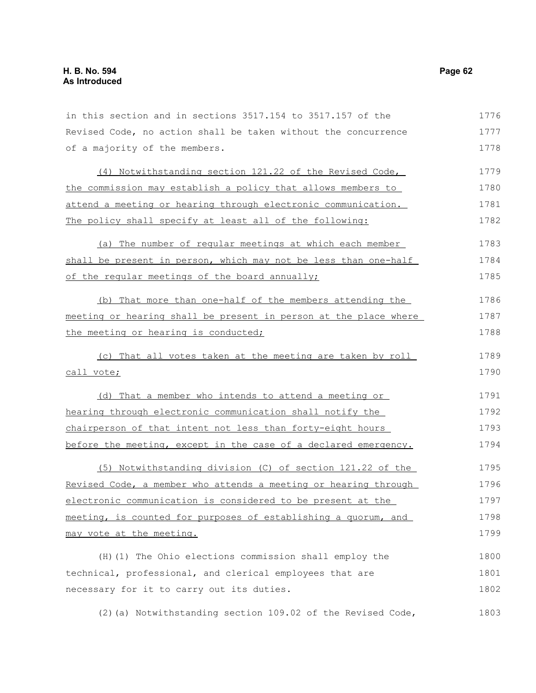in this section and in sections 3517.154 to 3517.157 of the Revised Code, no action shall be taken without the concurrence of a majority of the members. (4) Notwithstanding section 121.22 of the Revised Code, the commission may establish a policy that allows members to attend a meeting or hearing through electronic communication. The policy shall specify at least all of the following: (a) The number of regular meetings at which each member shall be present in person, which may not be less than one-half of the regular meetings of the board annually; (b) That more than one-half of the members attending the meeting or hearing shall be present in person at the place where the meeting or hearing is conducted; (c) That all votes taken at the meeting are taken by roll call vote; (d) That a member who intends to attend a meeting or hearing through electronic communication shall notify the chairperson of that intent not less than forty-eight hours before the meeting, except in the case of a declared emergency. (5) Notwithstanding division (C) of section 121.22 of the Revised Code, a member who attends a meeting or hearing through electronic communication is considered to be present at the meeting, is counted for purposes of establishing a quorum, and may vote at the meeting. (H)(1) The Ohio elections commission shall employ the technical, professional, and clerical employees that are necessary for it to carry out its duties. 1776 1777 1778 1779 1780 1781 1782 1783 1784 1785 1786 1787 1788 1789 1790 1791 1792 1793 1794 1795 1796 1797 1798 1799 1800 1801 1802

(2)(a) Notwithstanding section 109.02 of the Revised Code, 1803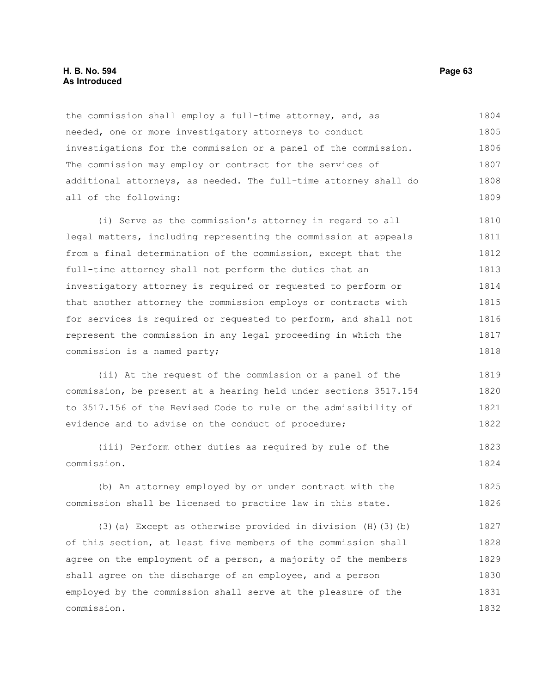### **H. B. No. 594 Page 63 As Introduced**

the commission shall employ a full-time attorney, and, as needed, one or more investigatory attorneys to conduct investigations for the commission or a panel of the commission. The commission may employ or contract for the services of additional attorneys, as needed. The full-time attorney shall do all of the following: 1804 1805 1806 1807 1808 1809

(i) Serve as the commission's attorney in regard to all legal matters, including representing the commission at appeals from a final determination of the commission, except that the full-time attorney shall not perform the duties that an investigatory attorney is required or requested to perform or that another attorney the commission employs or contracts with for services is required or requested to perform, and shall not represent the commission in any legal proceeding in which the commission is a named party; 1810 1811 1812 1813 1814 1815 1816 1817 1818

(ii) At the request of the commission or a panel of the commission, be present at a hearing held under sections 3517.154 to 3517.156 of the Revised Code to rule on the admissibility of evidence and to advise on the conduct of procedure; 1819 1820 1821 1822

(iii) Perform other duties as required by rule of the commission. 1823 1824

(b) An attorney employed by or under contract with the commission shall be licensed to practice law in this state. 1825 1826

(3)(a) Except as otherwise provided in division  $(H)(3)(b)$ of this section, at least five members of the commission shall agree on the employment of a person, a majority of the members shall agree on the discharge of an employee, and a person employed by the commission shall serve at the pleasure of the commission. 1827 1828 1829 1830 1831 1832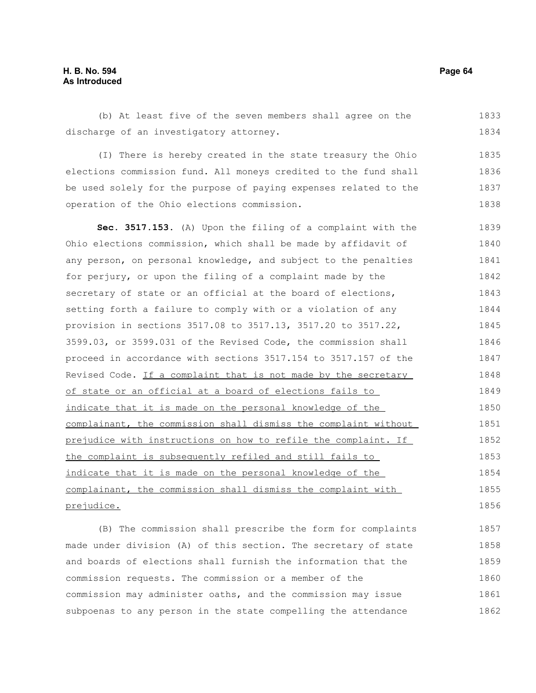# **H. B. No. 594 Page 64 As Introduced**

(b) At least five of the seven members shall agree on the discharge of an investigatory attorney. 1833 1834

(I) There is hereby created in the state treasury the Ohio elections commission fund. All moneys credited to the fund shall be used solely for the purpose of paying expenses related to the operation of the Ohio elections commission. 1835 1836 1837 1838

**Sec. 3517.153.** (A) Upon the filing of a complaint with the Ohio elections commission, which shall be made by affidavit of any person, on personal knowledge, and subject to the penalties for perjury, or upon the filing of a complaint made by the secretary of state or an official at the board of elections, setting forth a failure to comply with or a violation of any provision in sections 3517.08 to 3517.13, 3517.20 to 3517.22, 3599.03, or 3599.031 of the Revised Code, the commission shall proceed in accordance with sections 3517.154 to 3517.157 of the Revised Code. If a complaint that is not made by the secretary of state or an official at a board of elections fails to indicate that it is made on the personal knowledge of the complainant, the commission shall dismiss the complaint without prejudice with instructions on how to refile the complaint. If the complaint is subsequently refiled and still fails to indicate that it is made on the personal knowledge of the complainant, the commission shall dismiss the complaint with prejudice. 1839 1840 1841 1842 1843 1844 1845 1846 1847 1848 1849 1850 1851 1852 1853 1854 1855 1856

(B) The commission shall prescribe the form for complaints made under division (A) of this section. The secretary of state and boards of elections shall furnish the information that the commission requests. The commission or a member of the commission may administer oaths, and the commission may issue subpoenas to any person in the state compelling the attendance 1857 1858 1859 1860 1861 1862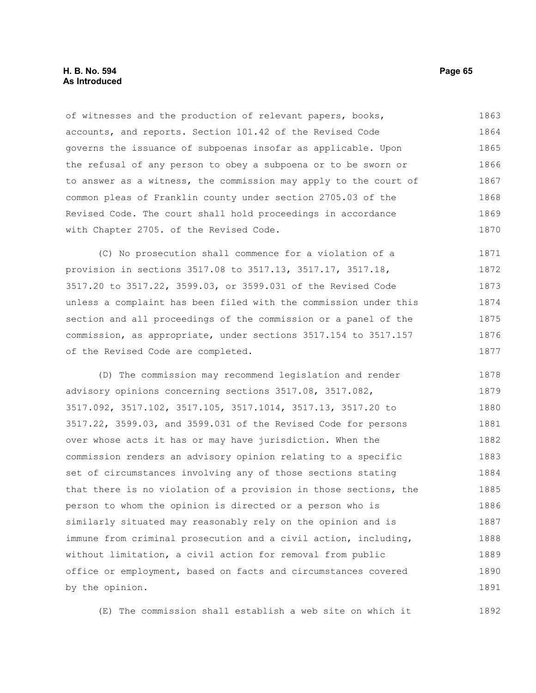### **H. B. No. 594 Page 65 As Introduced**

of witnesses and the production of relevant papers, books, accounts, and reports. Section 101.42 of the Revised Code governs the issuance of subpoenas insofar as applicable. Upon the refusal of any person to obey a subpoena or to be sworn or to answer as a witness, the commission may apply to the court of common pleas of Franklin county under section 2705.03 of the Revised Code. The court shall hold proceedings in accordance with Chapter 2705. of the Revised Code. 1863 1864 1865 1866 1867 1868 1869 1870

(C) No prosecution shall commence for a violation of a provision in sections 3517.08 to 3517.13, 3517.17, 3517.18, 3517.20 to 3517.22, 3599.03, or 3599.031 of the Revised Code unless a complaint has been filed with the commission under this section and all proceedings of the commission or a panel of the commission, as appropriate, under sections 3517.154 to 3517.157 of the Revised Code are completed. 1871 1872 1873 1874 1875 1876 1877

(D) The commission may recommend legislation and render advisory opinions concerning sections 3517.08, 3517.082, 3517.092, 3517.102, 3517.105, 3517.1014, 3517.13, 3517.20 to 3517.22, 3599.03, and 3599.031 of the Revised Code for persons over whose acts it has or may have jurisdiction. When the commission renders an advisory opinion relating to a specific set of circumstances involving any of those sections stating that there is no violation of a provision in those sections, the person to whom the opinion is directed or a person who is similarly situated may reasonably rely on the opinion and is immune from criminal prosecution and a civil action, including, without limitation, a civil action for removal from public office or employment, based on facts and circumstances covered by the opinion. 1878 1879 1880 1881 1882 1883 1884 1885 1886 1887 1888 1889 1890 1891

(E) The commission shall establish a web site on which it 1892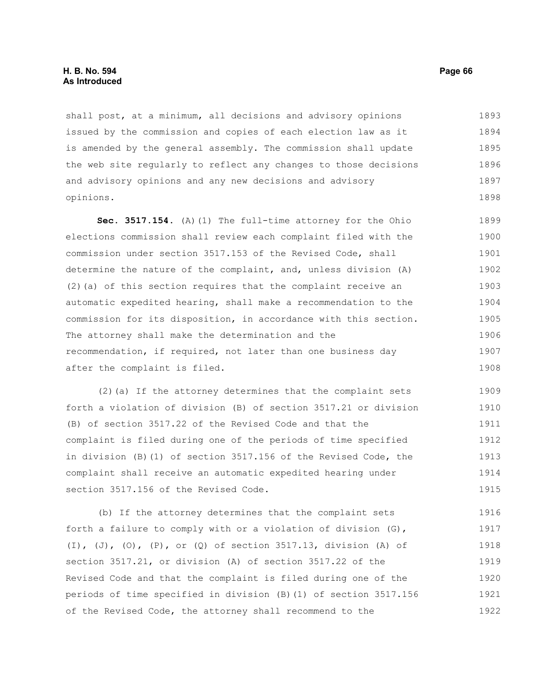shall post, at a minimum, all decisions and advisory opinions issued by the commission and copies of each election law as it is amended by the general assembly. The commission shall update the web site regularly to reflect any changes to those decisions and advisory opinions and any new decisions and advisory opinions. 1893 1894 1895 1896 1897 1898

**Sec. 3517.154.** (A)(1) The full-time attorney for the Ohio elections commission shall review each complaint filed with the commission under section 3517.153 of the Revised Code, shall determine the nature of the complaint, and, unless division (A) (2)(a) of this section requires that the complaint receive an automatic expedited hearing, shall make a recommendation to the commission for its disposition, in accordance with this section. The attorney shall make the determination and the recommendation, if required, not later than one business day after the complaint is filed. 1899 1900 1901 1902 1903 1904 1905 1906 1907 1908

(2)(a) If the attorney determines that the complaint sets forth a violation of division (B) of section 3517.21 or division (B) of section 3517.22 of the Revised Code and that the complaint is filed during one of the periods of time specified in division (B)(1) of section 3517.156 of the Revised Code, the complaint shall receive an automatic expedited hearing under section 3517.156 of the Revised Code. 1909 1910 1911 1912 1913 1914 1915

(b) If the attorney determines that the complaint sets forth a failure to comply with or a violation of division (G), (I), (J), (O), (P), or (Q) of section 3517.13, division (A) of section 3517.21, or division (A) of section 3517.22 of the Revised Code and that the complaint is filed during one of the periods of time specified in division (B)(1) of section 3517.156 of the Revised Code, the attorney shall recommend to the 1916 1917 1918 1919 1920 1921 1922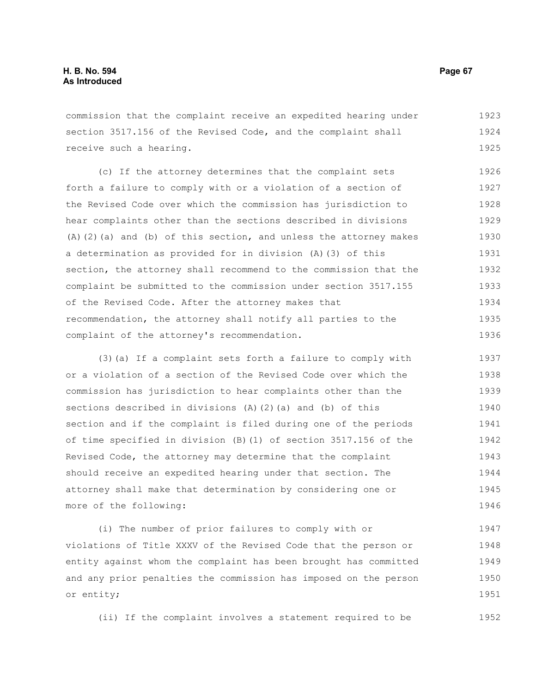commission that the complaint receive an expedited hearing under section 3517.156 of the Revised Code, and the complaint shall receive such a hearing. 1923 1924 1925

(c) If the attorney determines that the complaint sets forth a failure to comply with or a violation of a section of the Revised Code over which the commission has jurisdiction to hear complaints other than the sections described in divisions (A)(2)(a) and (b) of this section, and unless the attorney makes a determination as provided for in division (A)(3) of this section, the attorney shall recommend to the commission that the complaint be submitted to the commission under section 3517.155 of the Revised Code. After the attorney makes that recommendation, the attorney shall notify all parties to the complaint of the attorney's recommendation. 1926 1927 1928 1929 1930 1931 1932 1933 1934 1935 1936

(3)(a) If a complaint sets forth a failure to comply with or a violation of a section of the Revised Code over which the commission has jurisdiction to hear complaints other than the sections described in divisions  $(A)$   $(2)$   $(a)$  and  $(b)$  of this section and if the complaint is filed during one of the periods of time specified in division (B)(1) of section 3517.156 of the Revised Code, the attorney may determine that the complaint should receive an expedited hearing under that section. The attorney shall make that determination by considering one or more of the following: 1937 1938 1939 1940 1941 1942 1943 1944 1945 1946

(i) The number of prior failures to comply with or violations of Title XXXV of the Revised Code that the person or entity against whom the complaint has been brought has committed and any prior penalties the commission has imposed on the person or entity; 1947 1948 1949 1950 1951

(ii) If the complaint involves a statement required to be 1952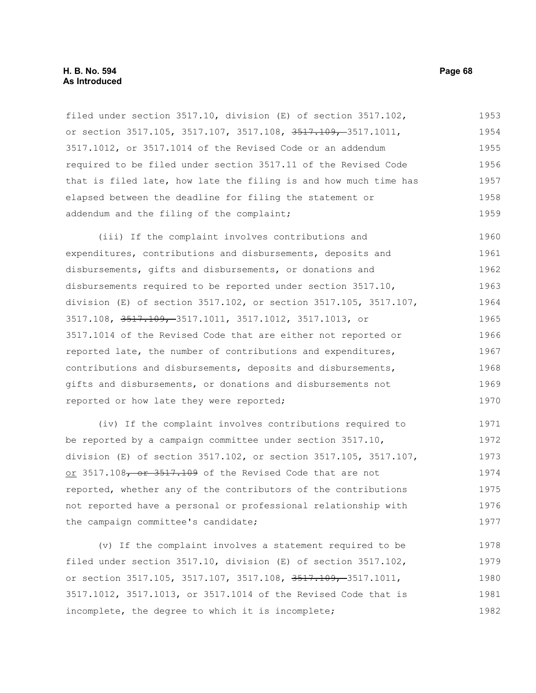filed under section 3517.10, division (E) of section 3517.102, or section 3517.105, 3517.107, 3517.108, 3517.109, 3517.1011, 3517.1012, or 3517.1014 of the Revised Code or an addendum required to be filed under section 3517.11 of the Revised Code that is filed late, how late the filing is and how much time has elapsed between the deadline for filing the statement or addendum and the filing of the complaint; 1953 1954 1955 1956 1957 1958 1959

(iii) If the complaint involves contributions and expenditures, contributions and disbursements, deposits and disbursements, gifts and disbursements, or donations and disbursements required to be reported under section 3517.10, division (E) of section 3517.102, or section 3517.105, 3517.107, 3517.108, 3517.109, 3517.1011, 3517.1012, 3517.1013, or 3517.1014 of the Revised Code that are either not reported or reported late, the number of contributions and expenditures, contributions and disbursements, deposits and disbursements, gifts and disbursements, or donations and disbursements not reported or how late they were reported; 1960 1961 1962 1963 1964 1965 1966 1967 1968 1969 1970

(iv) If the complaint involves contributions required to be reported by a campaign committee under section 3517.10, division (E) of section 3517.102, or section 3517.105, 3517.107, or 3517.108, or 3517.109 of the Revised Code that are not reported, whether any of the contributors of the contributions not reported have a personal or professional relationship with the campaign committee's candidate; 1971 1972 1973 1974 1975 1976 1977

(v) If the complaint involves a statement required to be filed under section 3517.10, division (E) of section 3517.102, or section 3517.105, 3517.107, 3517.108, 3517.109, 3517.1011, 3517.1012, 3517.1013, or 3517.1014 of the Revised Code that is incomplete, the degree to which it is incomplete; 1978 1979 1980 1981 1982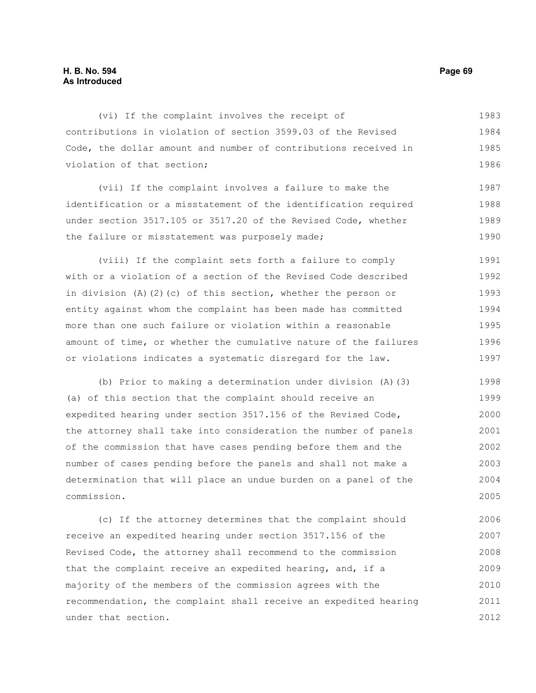# **H. B. No. 594 Page 69 As Introduced**

(vi) If the complaint involves the receipt of contributions in violation of section 3599.03 of the Revised Code, the dollar amount and number of contributions received in violation of that section; 1983 1984 1985 1986

(vii) If the complaint involves a failure to make the identification or a misstatement of the identification required under section 3517.105 or 3517.20 of the Revised Code, whether the failure or misstatement was purposely made; 1987 1988 1989 1990

(viii) If the complaint sets forth a failure to comply with or a violation of a section of the Revised Code described in division (A)(2)(c) of this section, whether the person or entity against whom the complaint has been made has committed more than one such failure or violation within a reasonable amount of time, or whether the cumulative nature of the failures or violations indicates a systematic disregard for the law. 1991 1992 1993 1994 1995 1996 1997

(b) Prior to making a determination under division (A)(3) (a) of this section that the complaint should receive an expedited hearing under section 3517.156 of the Revised Code, the attorney shall take into consideration the number of panels of the commission that have cases pending before them and the number of cases pending before the panels and shall not make a determination that will place an undue burden on a panel of the commission. 1998 1999 2000 2001 2002 2003 2004 2005

(c) If the attorney determines that the complaint should receive an expedited hearing under section 3517.156 of the Revised Code, the attorney shall recommend to the commission that the complaint receive an expedited hearing, and, if a majority of the members of the commission agrees with the recommendation, the complaint shall receive an expedited hearing under that section. 2006 2007 2008 2009 2010 2011 2012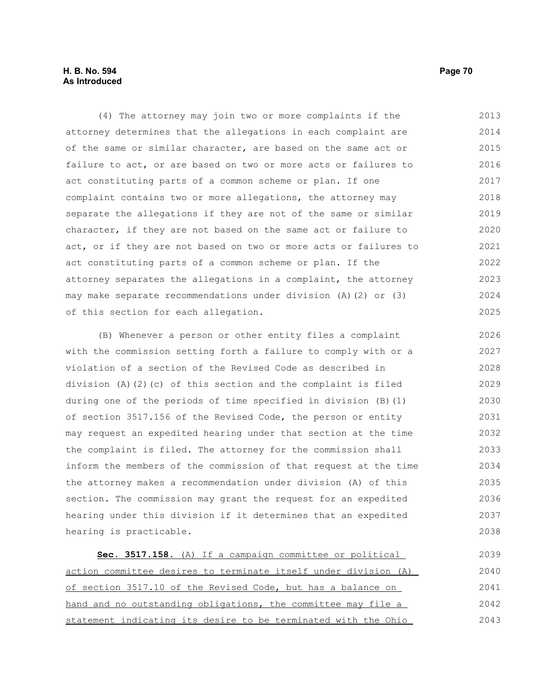# **H. B. No. 594 Page 70 As Introduced**

(4) The attorney may join two or more complaints if the attorney determines that the allegations in each complaint are of the same or similar character, are based on the same act or failure to act, or are based on two or more acts or failures to act constituting parts of a common scheme or plan. If one complaint contains two or more allegations, the attorney may separate the allegations if they are not of the same or similar character, if they are not based on the same act or failure to act, or if they are not based on two or more acts or failures to act constituting parts of a common scheme or plan. If the attorney separates the allegations in a complaint, the attorney may make separate recommendations under division (A)(2) or (3) of this section for each allegation. 2013 2014 2015 2016 2017 2018 2019 2020 2021 2022 2023 2024 2025

(B) Whenever a person or other entity files a complaint with the commission setting forth a failure to comply with or a violation of a section of the Revised Code as described in division (A)(2)(c) of this section and the complaint is filed during one of the periods of time specified in division (B)(1) of section 3517.156 of the Revised Code, the person or entity may request an expedited hearing under that section at the time the complaint is filed. The attorney for the commission shall inform the members of the commission of that request at the time the attorney makes a recommendation under division (A) of this section. The commission may grant the request for an expedited hearing under this division if it determines that an expedited hearing is practicable. 2026 2027 2028 2029 2030 2031 2032 2033 2034 2035 2036 2037 2038

 **Sec. 3517.158.** (A) If a campaign committee or political action committee desires to terminate itself under division (A) of section 3517.10 of the Revised Code, but has a balance on hand and no outstanding obligations, the committee may file a statement indicating its desire to be terminated with the Ohio 2039 2040 2041 2042 2043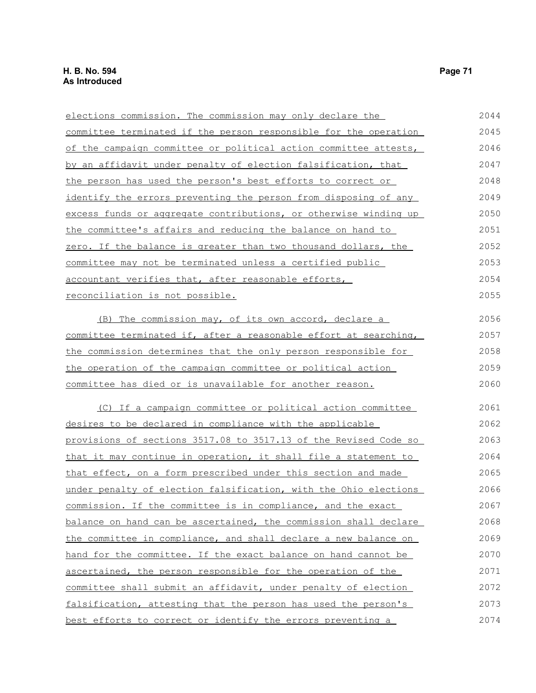| elections commission. The commission may only declare the        | 2044 |
|------------------------------------------------------------------|------|
| committee terminated if the person responsible for the operation | 2045 |
| of the campaign committee or political action committee attests, | 2046 |
| by an affidavit under penalty of election falsification, that    | 2047 |
| the person has used the person's best efforts to correct or      | 2048 |
| identify the errors preventing the person from disposing of any  | 2049 |
| excess funds or aggregate contributions, or otherwise winding up | 2050 |
| the committee's affairs and reducing the balance on hand to      | 2051 |
| zero. If the balance is greater than two thousand dollars, the   | 2052 |
| committee may not be terminated unless a certified public        | 2053 |
| accountant verifies that, after reasonable efforts,              | 2054 |
| reconciliation is not possible.                                  | 2055 |
| The commission may, of its own accord, declare a<br>(B)          | 2056 |
| committee terminated if, after a reasonable effort at searching, | 2057 |
| the commission determines that the only person responsible for   | 2058 |
| the operation of the campaign committee or political action      | 2059 |
| committee has died or is unavailable for another reason.         | 2060 |
| (C) If a campaign committee or political action committee        | 2061 |
| desires to be declared in compliance with the applicable         | 2062 |
| provisions of sections 3517.08 to 3517.13 of the Revised Code so | 2063 |
| that it may continue in operation, it shall file a statement to  | 2064 |
| that effect, on a form prescribed under this section and made    | 2065 |
| under penalty of election falsification, with the Ohio elections | 2066 |
| commission. If the committee is in compliance, and the exact     | 2067 |
| balance on hand can be ascertained, the commission shall declare | 2068 |
| the committee in compliance, and shall declare a new balance on  | 2069 |
| hand for the committee. If the exact balance on hand cannot be   | 2070 |
| ascertained, the person responsible for the operation of the     | 2071 |
| committee shall submit an affidavit, under penalty of election   | 2072 |
| falsification, attesting that the person has used the person's   | 2073 |

best efforts to correct or identify the errors preventing a

2074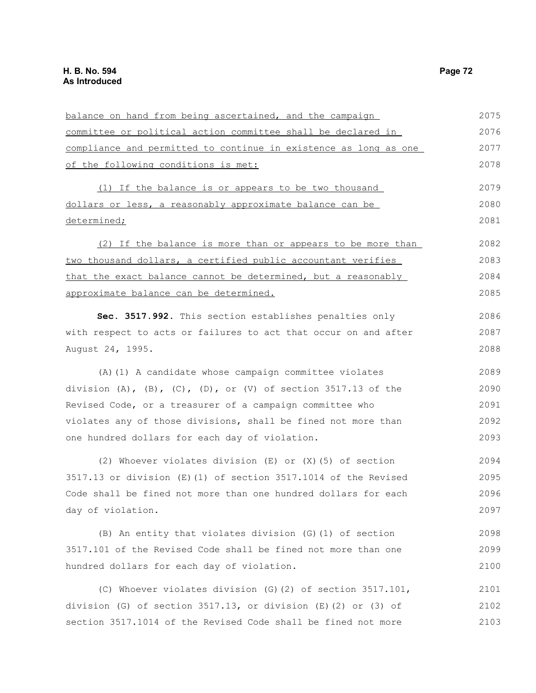| balance on hand from being ascertained, and the campaign         | 2075 |
|------------------------------------------------------------------|------|
| committee or political action committee shall be declared in     | 2076 |
| compliance and permitted to continue in existence as long as one | 2077 |
| of the following conditions is met:                              | 2078 |
| (1) If the balance is or appears to be two thousand              | 2079 |
| dollars or less, a reasonably approximate balance can be         | 2080 |
| determined;                                                      | 2081 |
| (2) If the balance is more than or appears to be more than       | 2082 |
| two thousand dollars, a certified public accountant verifies     | 2083 |
| that the exact balance cannot be determined, but a reasonably    | 2084 |
| approximate balance can be determined.                           | 2085 |
| Sec. 3517.992. This section establishes penalties only           | 2086 |
| with respect to acts or failures to act that occur on and after  | 2087 |
| August 24, 1995.                                                 | 2088 |
| (A) (1) A candidate whose campaign committee violates            | 2089 |
| division (A), (B), (C), (D), or (V) of section 3517.13 of the    | 2090 |
| Revised Code, or a treasurer of a campaign committee who         | 2091 |
| violates any of those divisions, shall be fined not more than    | 2092 |
| one hundred dollars for each day of violation.                   | 2093 |
| (2) Whoever violates division $(E)$ or $(X)$ (5) of section      | 2094 |
| 3517.13 or division (E) (1) of section 3517.1014 of the Revised  | 2095 |
| Code shall be fined not more than one hundred dollars for each   | 2096 |
| day of violation.                                                | 2097 |
| (B) An entity that violates division (G) (1) of section          | 2098 |
| 3517.101 of the Revised Code shall be fined not more than one    | 2099 |
| hundred dollars for each day of violation.                       | 2100 |
| (C) Whoever violates division (G) (2) of section 3517.101,       | 2101 |
| division (G) of section $3517.13$ , or division (E)(2) or (3) of | 2102 |
| section 3517.1014 of the Revised Code shall be fined not more    | 2103 |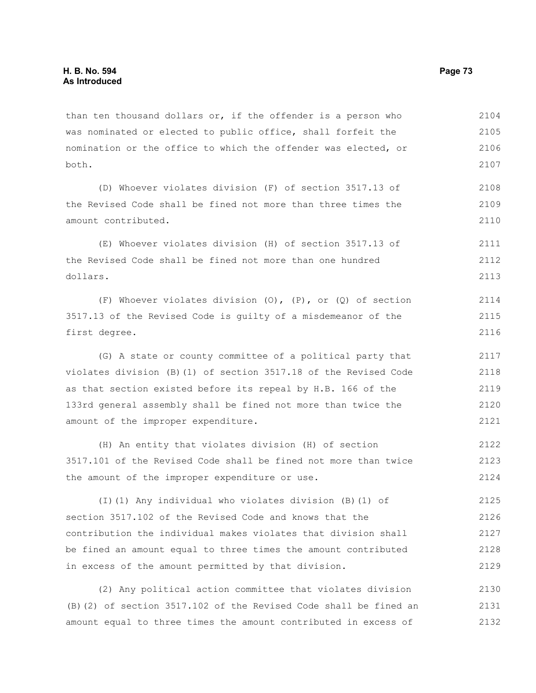than ten thousand dollars or, if the offender is a person who was nominated or elected to public office, shall forfeit the nomination or the office to which the offender was elected, or both. 2104 2105 2106 2107

(D) Whoever violates division (F) of section 3517.13 of the Revised Code shall be fined not more than three times the amount contributed. 2108 2109 2110

(E) Whoever violates division (H) of section 3517.13 of the Revised Code shall be fined not more than one hundred dollars. 2111 2112 2113

(F) Whoever violates division (O), (P), or (Q) of section 3517.13 of the Revised Code is guilty of a misdemeanor of the first degree. 2114 2115 2116

(G) A state or county committee of a political party that violates division (B)(1) of section 3517.18 of the Revised Code as that section existed before its repeal by H.B. 166 of the 133rd general assembly shall be fined not more than twice the amount of the improper expenditure.

(H) An entity that violates division (H) of section 3517.101 of the Revised Code shall be fined not more than twice the amount of the improper expenditure or use. 2122 2123 2124

(I)(1) Any individual who violates division (B)(1) of section 3517.102 of the Revised Code and knows that the contribution the individual makes violates that division shall be fined an amount equal to three times the amount contributed in excess of the amount permitted by that division. 2125 2126 2127 2128 2129

(2) Any political action committee that violates division (B)(2) of section 3517.102 of the Revised Code shall be fined an amount equal to three times the amount contributed in excess of 2130 2131 2132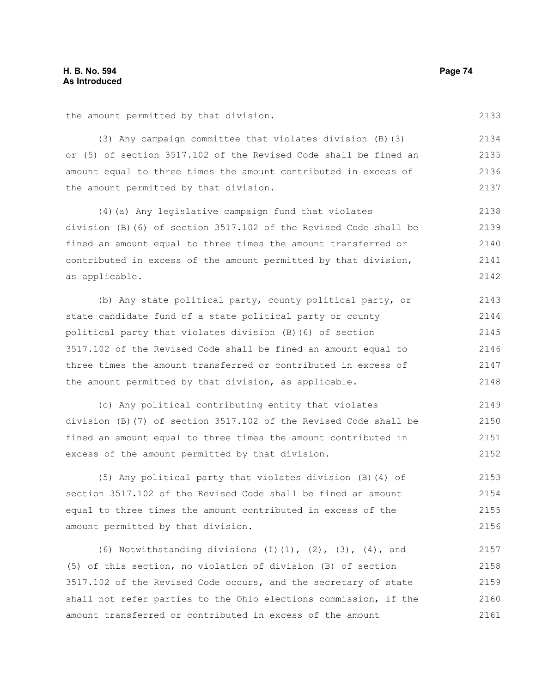the amount permitted by that division.

(3) Any campaign committee that violates division (B)(3) or (5) of section 3517.102 of the Revised Code shall be fined an amount equal to three times the amount contributed in excess of the amount permitted by that division.

(4)(a) Any legislative campaign fund that violates division (B)(6) of section 3517.102 of the Revised Code shall be fined an amount equal to three times the amount transferred or contributed in excess of the amount permitted by that division, as applicable. 2138 2139 2140 2141 2142

(b) Any state political party, county political party, or state candidate fund of a state political party or county political party that violates division (B)(6) of section 3517.102 of the Revised Code shall be fined an amount equal to three times the amount transferred or contributed in excess of the amount permitted by that division, as applicable. 2143 2144 2145 2146 2147 2148

(c) Any political contributing entity that violates division (B)(7) of section 3517.102 of the Revised Code shall be fined an amount equal to three times the amount contributed in excess of the amount permitted by that division. 2149 2150 2151 2152

(5) Any political party that violates division (B)(4) of section 3517.102 of the Revised Code shall be fined an amount equal to three times the amount contributed in excess of the amount permitted by that division. 2153 2154 2155 2156

(6) Notwithstanding divisions  $(I)$   $(1)$ ,  $(2)$ ,  $(3)$ ,  $(4)$ , and (5) of this section, no violation of division (B) of section 3517.102 of the Revised Code occurs, and the secretary of state shall not refer parties to the Ohio elections commission, if the amount transferred or contributed in excess of the amount 2157 2158 2159 2160 2161

2133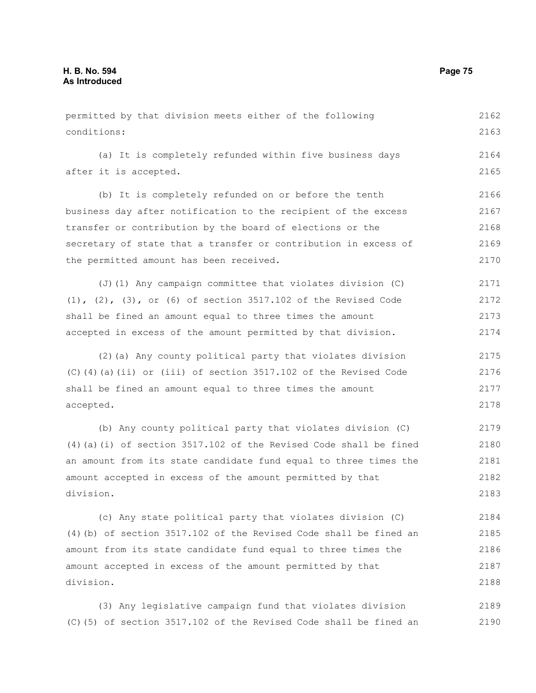permitted by that division meets either of the following conditions: 2162 2163

(a) It is completely refunded within five business days after it is accepted.

(b) It is completely refunded on or before the tenth business day after notification to the recipient of the excess transfer or contribution by the board of elections or the secretary of state that a transfer or contribution in excess of the permitted amount has been received. 2166 2167 2168 2169 2170

(J)(1) Any campaign committee that violates division (C) (1), (2), (3), or (6) of section 3517.102 of the Revised Code shall be fined an amount equal to three times the amount accepted in excess of the amount permitted by that division. 2171 2172 2173 2174

(2)(a) Any county political party that violates division (C)(4)(a)(ii) or (iii) of section 3517.102 of the Revised Code shall be fined an amount equal to three times the amount accepted. 2175 2176 2177 2178

(b) Any county political party that violates division (C) (4)(a)(i) of section 3517.102 of the Revised Code shall be fined an amount from its state candidate fund equal to three times the amount accepted in excess of the amount permitted by that division. 2179 2180 2181 2182 2183

(c) Any state political party that violates division (C) (4)(b) of section 3517.102 of the Revised Code shall be fined an amount from its state candidate fund equal to three times the amount accepted in excess of the amount permitted by that division. 2184 2185 2186 2187 2188

(3) Any legislative campaign fund that violates division (C)(5) of section 3517.102 of the Revised Code shall be fined an 2189 2190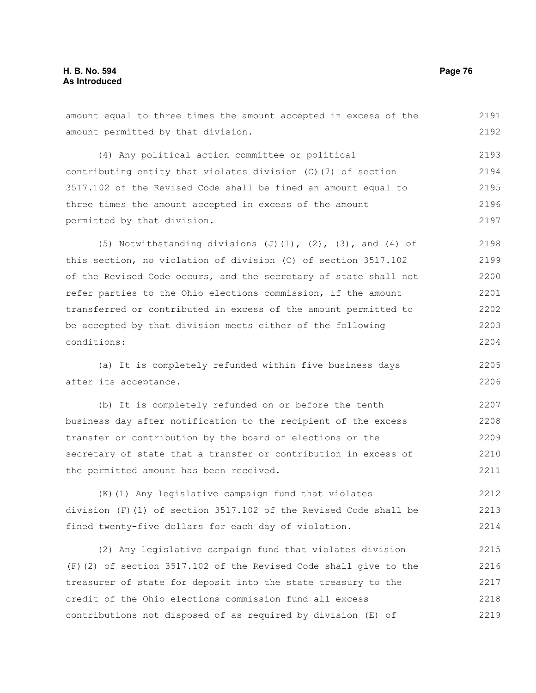amount equal to three times the amount accepted in excess of the amount permitted by that division. (4) Any political action committee or political contributing entity that violates division (C)(7) of section 3517.102 of the Revised Code shall be fined an amount equal to three times the amount accepted in excess of the amount permitted by that division. (5) Notwithstanding divisions  $(J)$ (1),  $(2)$ ,  $(3)$ , and  $(4)$  of this section, no violation of division (C) of section 3517.102 of the Revised Code occurs, and the secretary of state shall not refer parties to the Ohio elections commission, if the amount transferred or contributed in excess of the amount permitted to be accepted by that division meets either of the following conditions: 2191 2193 2194 2195 2196 2197 2198 2199 2200 2201 2202 2203 2204

(a) It is completely refunded within five business days after its acceptance. 2205 2206

(b) It is completely refunded on or before the tenth business day after notification to the recipient of the excess transfer or contribution by the board of elections or the secretary of state that a transfer or contribution in excess of the permitted amount has been received. 2207 2208 2209 2210 2211

(K)(1) Any legislative campaign fund that violates division (F)(1) of section 3517.102 of the Revised Code shall be fined twenty-five dollars for each day of violation. 2212 2213 2214

(2) Any legislative campaign fund that violates division (F)(2) of section 3517.102 of the Revised Code shall give to the treasurer of state for deposit into the state treasury to the credit of the Ohio elections commission fund all excess contributions not disposed of as required by division (E) of 2215 2216 2217 2218 2219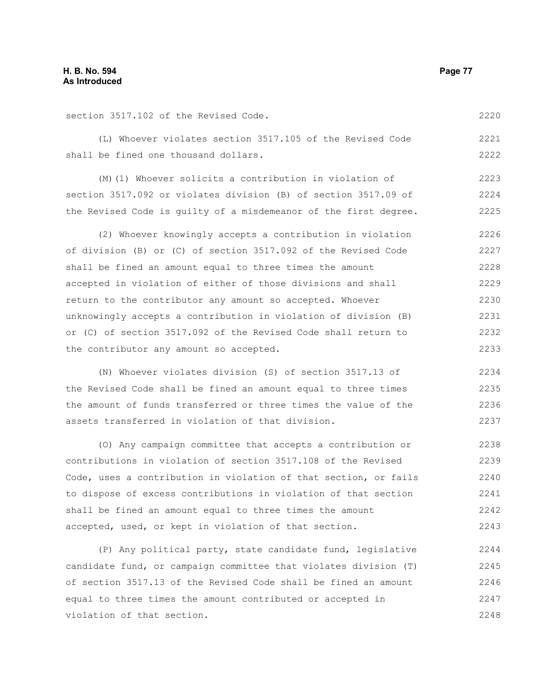section 3517.102 of the Revised Code. (L) Whoever violates section 3517.105 of the Revised Code shall be fined one thousand dollars. (M)(1) Whoever solicits a contribution in violation of section 3517.092 or violates division (B) of section 3517.09 of the Revised Code is guilty of a misdemeanor of the first degree. (2) Whoever knowingly accepts a contribution in violation of division (B) or (C) of section 3517.092 of the Revised Code shall be fined an amount equal to three times the amount accepted in violation of either of those divisions and shall return to the contributor any amount so accepted. Whoever unknowingly accepts a contribution in violation of division (B) or (C) of section 3517.092 of the Revised Code shall return to the contributor any amount so accepted. (N) Whoever violates division (S) of section 3517.13 of the Revised Code shall be fined an amount equal to three times the amount of funds transferred or three times the value of the 2220 2221 2222 2223 2224 2225 2226 2227 2228 2229 2230 2231 2232 2233 2234 2235 2236

(O) Any campaign committee that accepts a contribution or contributions in violation of section 3517.108 of the Revised Code, uses a contribution in violation of that section, or fails to dispose of excess contributions in violation of that section shall be fined an amount equal to three times the amount accepted, used, or kept in violation of that section. 2238 2239 2240 2241 2242 2243

assets transferred in violation of that division.

(P) Any political party, state candidate fund, legislative candidate fund, or campaign committee that violates division (T) of section 3517.13 of the Revised Code shall be fined an amount equal to three times the amount contributed or accepted in violation of that section. 2244 2245 2246 2247 2248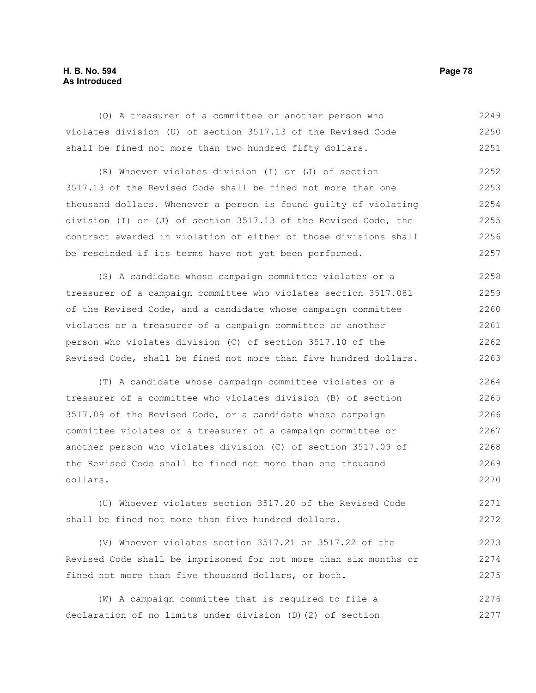## **H. B. No. 594 Page 78 As Introduced**

(Q) A treasurer of a committee or another person who violates division (U) of section 3517.13 of the Revised Code shall be fined not more than two hundred fifty dollars. 2249 2250 2251

(R) Whoever violates division (I) or (J) of section 3517.13 of the Revised Code shall be fined not more than one thousand dollars. Whenever a person is found guilty of violating division (I) or (J) of section 3517.13 of the Revised Code, the contract awarded in violation of either of those divisions shall be rescinded if its terms have not yet been performed. 2252 2253 2254 2255 2256 2257

(S) A candidate whose campaign committee violates or a treasurer of a campaign committee who violates section 3517.081 of the Revised Code, and a candidate whose campaign committee violates or a treasurer of a campaign committee or another person who violates division (C) of section 3517.10 of the Revised Code, shall be fined not more than five hundred dollars. 2258 2259 2260 2261 2262 2263

(T) A candidate whose campaign committee violates or a treasurer of a committee who violates division (B) of section 3517.09 of the Revised Code, or a candidate whose campaign committee violates or a treasurer of a campaign committee or another person who violates division (C) of section 3517.09 of the Revised Code shall be fined not more than one thousand dollars. 2264 2265 2266 2267 2268 2269 2270

(U) Whoever violates section 3517.20 of the Revised Code shall be fined not more than five hundred dollars. 2271 2272

(V) Whoever violates section 3517.21 or 3517.22 of the Revised Code shall be imprisoned for not more than six months or fined not more than five thousand dollars, or both. 2273 2274 2275

(W) A campaign committee that is required to file a declaration of no limits under division (D)(2) of section 2276 2277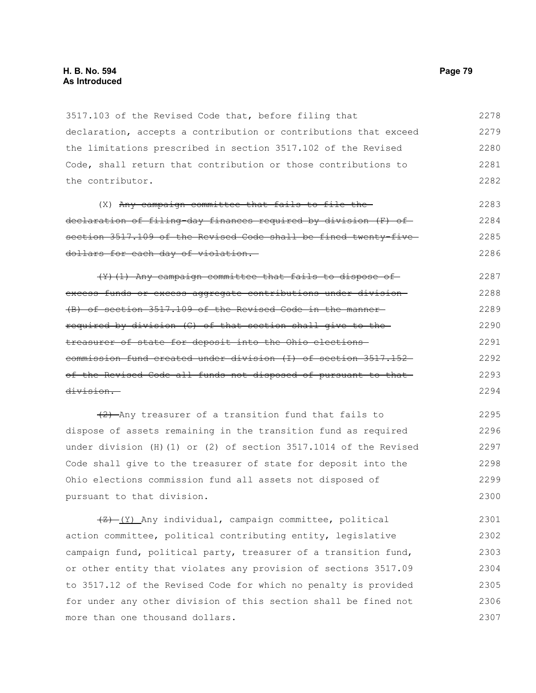3517.103 of the Revised Code that, before filing that declaration, accepts a contribution or contributions that exceed the limitations prescribed in section 3517.102 of the Revised Code, shall return that contribution or those contributions to the contributor. 2278 2279 2280 2281 2282

(X) Any campaign committee that fails to file thedeclaration of filing-day finances required by division (F) of section 3517.109 of the Revised Code shall be fined twenty-fivedollars for each day of violation. 2283 2284 2285 2286

(Y)(1) Any campaign committee that fails to dispose of excess funds or excess aggregate contributions under division (B) of section 3517.109 of the Revised Code in the manner required by division (C) of that section shall give to the treasurer of state for deposit into the Ohio elections commission fund created under division (I) of section 3517.152 of the Revised Code all funds not disposed of pursuant to that division. 2287 2288 2289 2290 2291 2292 2293 2294

(2) Any treasurer of a transition fund that fails to dispose of assets remaining in the transition fund as required under division (H)(1) or (2) of section 3517.1014 of the Revised Code shall give to the treasurer of state for deposit into the Ohio elections commission fund all assets not disposed of pursuant to that division. 2295 2296 2297 2298 2299 2300

 $\frac{1}{2}$  (Y) Any individual, campaign committee, political action committee, political contributing entity, legislative campaign fund, political party, treasurer of a transition fund, or other entity that violates any provision of sections 3517.09 to 3517.12 of the Revised Code for which no penalty is provided for under any other division of this section shall be fined not more than one thousand dollars. 2301 2302 2303 2304 2305 2306 2307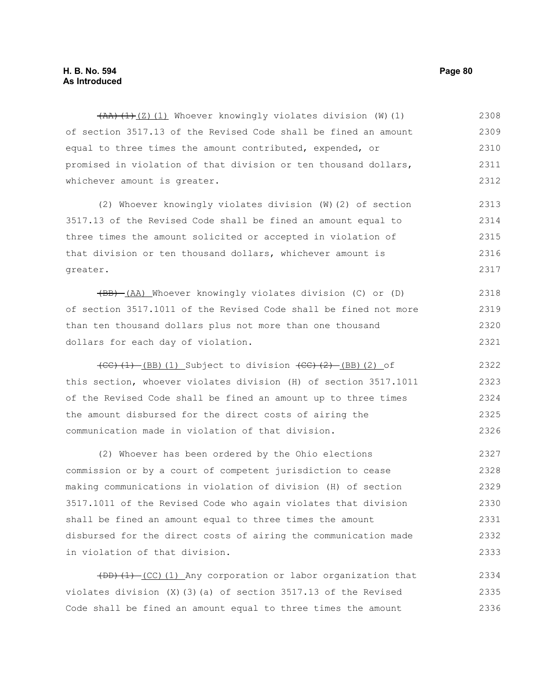$(AA)$   $(1)$   $(2)$   $(1)$  Whoever knowingly violates division  $(W)$   $(1)$ of section 3517.13 of the Revised Code shall be fined an amount equal to three times the amount contributed, expended, or promised in violation of that division or ten thousand dollars, whichever amount is greater. 2308 2309 2310 2311 2312

(2) Whoever knowingly violates division (W)(2) of section 3517.13 of the Revised Code shall be fined an amount equal to three times the amount solicited or accepted in violation of that division or ten thousand dollars, whichever amount is greater. 2313 2314 2315 2316 2317

(BB) (AA) Whoever knowingly violates division (C) or (D) of section 3517.1011 of the Revised Code shall be fined not more than ten thousand dollars plus not more than one thousand dollars for each day of violation. 2318 2319 2320 2321

 $(CC)$   $(1)$   $(BB)$   $(1)$  Subject to division  $(CC)$   $(2)$   $(BB)$   $(2)$  of this section, whoever violates division (H) of section 3517.1011 of the Revised Code shall be fined an amount up to three times the amount disbursed for the direct costs of airing the communication made in violation of that division. 2322 2323 2324 2325 2326

(2) Whoever has been ordered by the Ohio elections commission or by a court of competent jurisdiction to cease making communications in violation of division (H) of section 3517.1011 of the Revised Code who again violates that division shall be fined an amount equal to three times the amount disbursed for the direct costs of airing the communication made in violation of that division. 2327 2328 2329 2330 2331 2332 2333

(DD)(1) (CC)(1) Any corporation or labor organization that violates division (X)(3)(a) of section 3517.13 of the Revised Code shall be fined an amount equal to three times the amount 2334 2335 2336